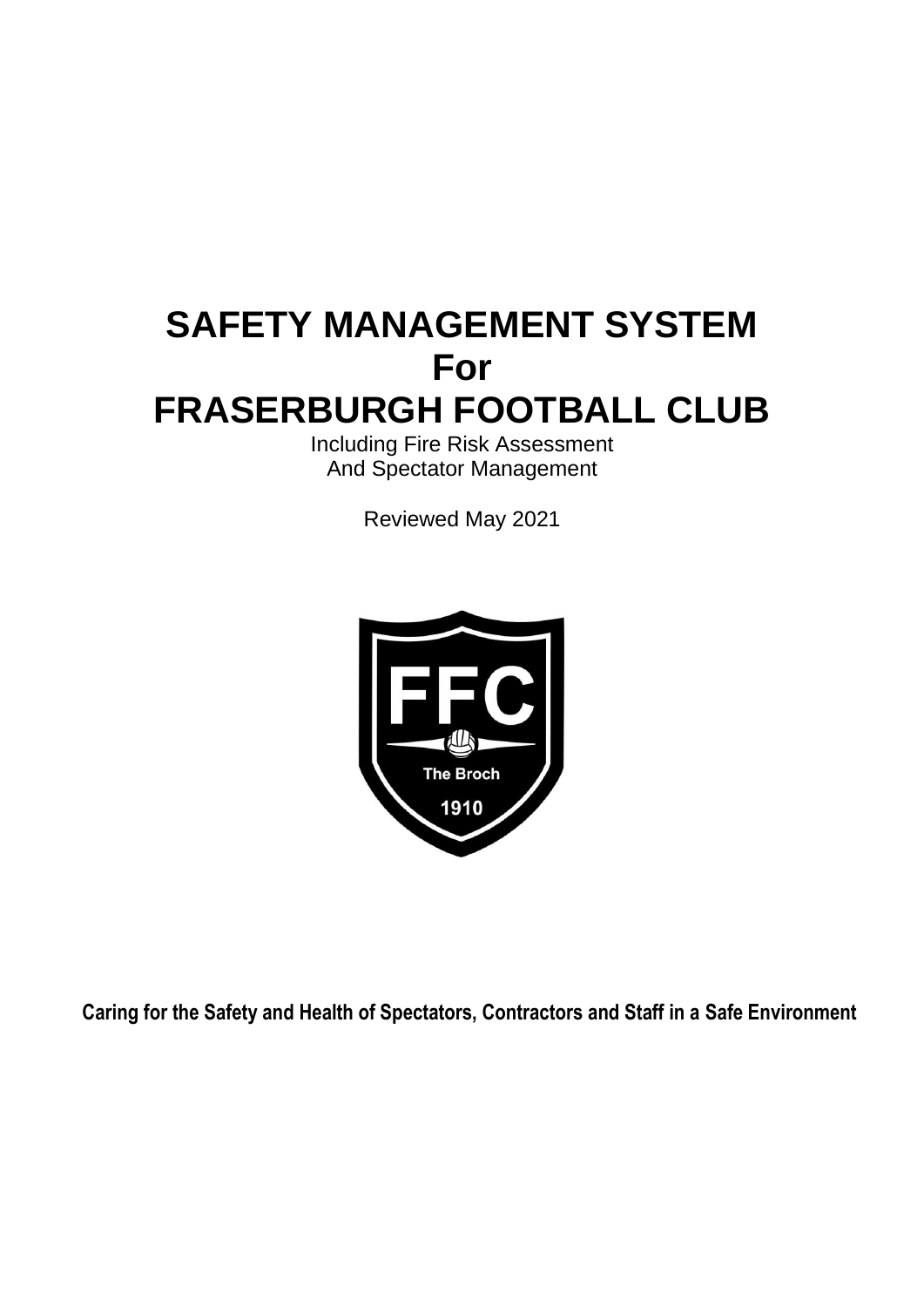# **SAFETY MANAGEMENT SYSTEM For FRASERBURGH FOOTBALL CLUB**

Including Fire Risk Assessment And Spectator Management

Reviewed May 2021



**Caring for the Safety and Health of Spectators, Contractors and Staff in a Safe Environment**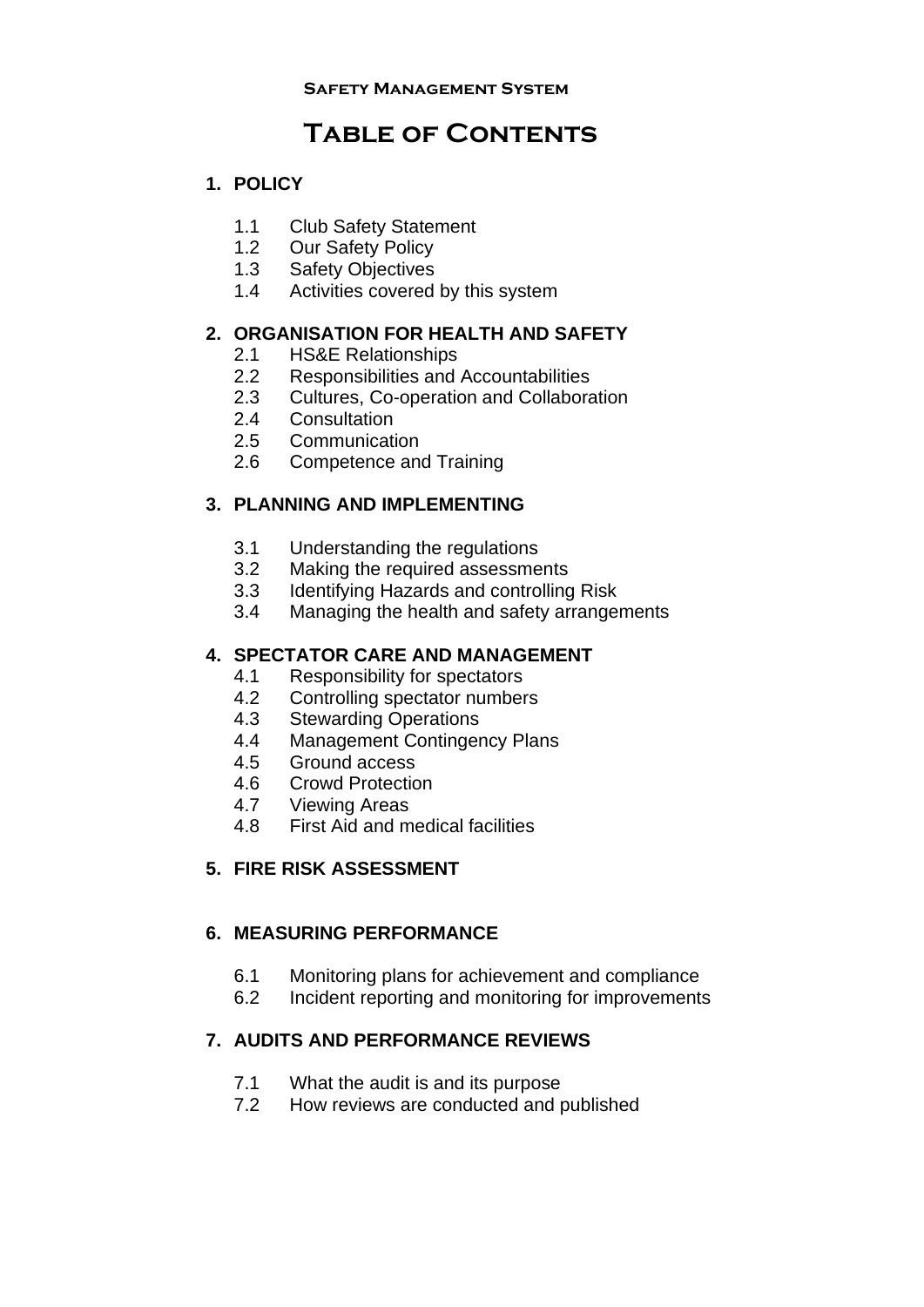## **Table of Contents**

### **1. POLICY**

- 1.1 Club Safety Statement
- 1.2 Our Safety Policy
- 1.3 Safety Objectives
- 1.4 Activities covered by this system

### **2. ORGANISATION FOR HEALTH AND SAFETY**

- 2.1 HS&E Relationships
- 2.2 Responsibilities and Accountabilities
- 2.3 Cultures, Co-operation and Collaboration
- 2.4 Consultation
- 2.5 Communication
- 2.6 Competence and Training

### **3. PLANNING AND IMPLEMENTING**

- 3.1 Understanding the regulations
- 3.2 Making the required assessments
- 3.3 Identifying Hazards and controlling Risk
- 3.4 Managing the health and safety arrangements

### **4. SPECTATOR CARE AND MANAGEMENT**

- 4.1 Responsibility for spectators
- 4.2 Controlling spectator numbers
- 4.3 Stewarding Operations
- 4.4 Management Contingency Plans
- 4.5 Ground access
- 4.6 Crowd Protection
- 4.7 Viewing Areas
- 4.8 First Aid and medical facilities

### **5. FIRE RISK ASSESSMENT**

### **6. MEASURING PERFORMANCE**

- 6.1 Monitoring plans for achievement and compliance
- 6.2 Incident reporting and monitoring for improvements

### **7. AUDITS AND PERFORMANCE REVIEWS**

- 7.1 What the audit is and its purpose
- 7.2 How reviews are conducted and published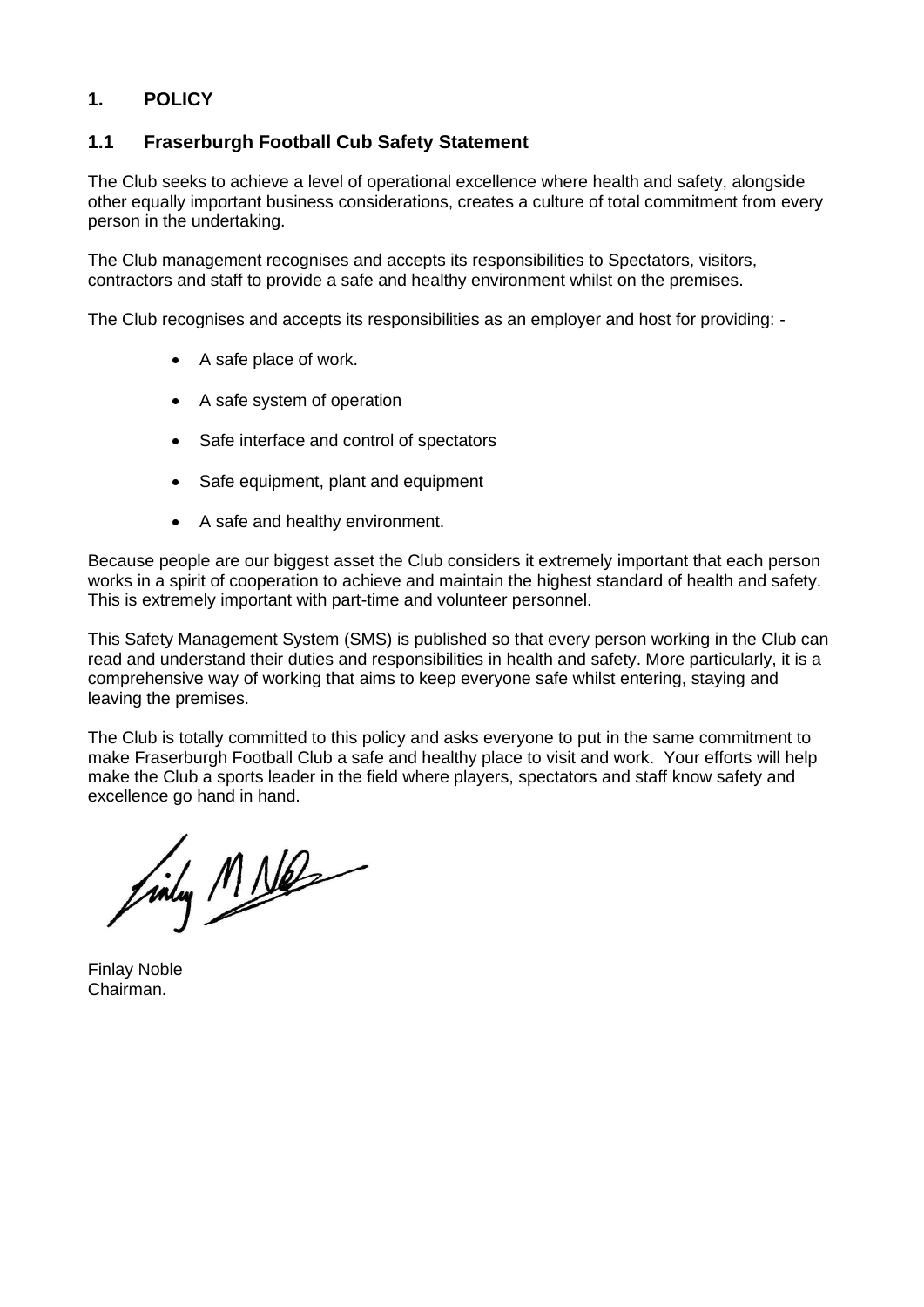### **1. POLICY**

### **1.1 Fraserburgh Football Cub Safety Statement**

The Club seeks to achieve a level of operational excellence where health and safety, alongside other equally important business considerations, creates a culture of total commitment from every person in the undertaking.

The Club management recognises and accepts its responsibilities to Spectators, visitors, contractors and staff to provide a safe and healthy environment whilst on the premises.

The Club recognises and accepts its responsibilities as an employer and host for providing: -

- A safe place of work.
- A safe system of operation
- Safe interface and control of spectators
- Safe equipment, plant and equipment
- A safe and healthy environment.

Because people are our biggest asset the Club considers it extremely important that each person works in a spirit of cooperation to achieve and maintain the highest standard of health and safety. This is extremely important with part-time and volunteer personnel.

This Safety Management System (SMS) is published so that every person working in the Club can read and understand their duties and responsibilities in health and safety. More particularly, it is a comprehensive way of working that aims to keep everyone safe whilst entering, staying and leaving the premises.

The Club is totally committed to this policy and asks everyone to put in the same commitment to make Fraserburgh Football Club a safe and healthy place to visit and work. Your efforts will help make the Club a sports leader in the field where players, spectators and staff know safety and excellence go hand in hand.

Finley M Nels

Finlay Noble Chairman.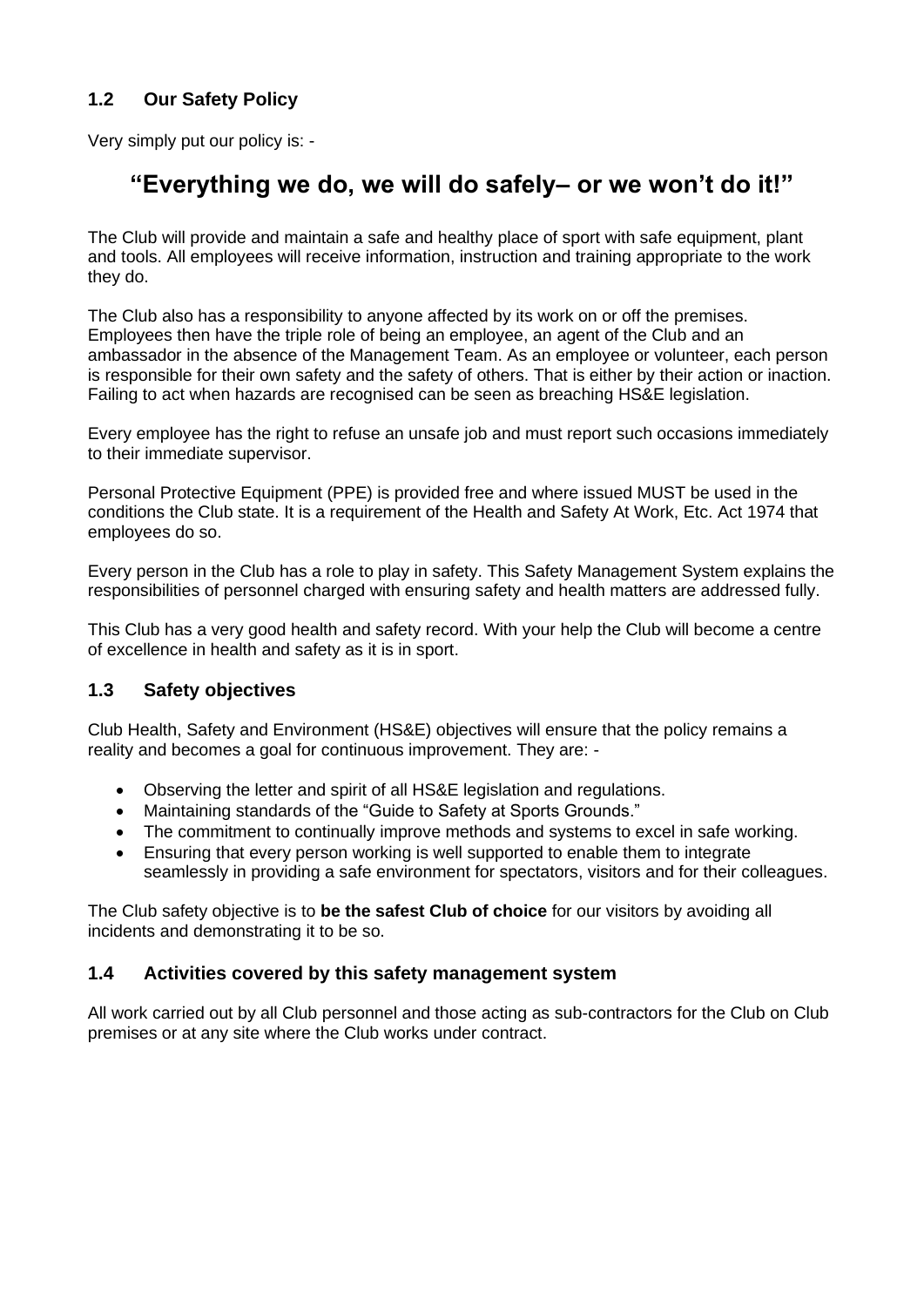### **1.2 Our Safety Policy**

Very simply put our policy is: -

### **"Everything we do, we will do safely– or we won't do it!"**

The Club will provide and maintain a safe and healthy place of sport with safe equipment, plant and tools. All employees will receive information, instruction and training appropriate to the work they do.

The Club also has a responsibility to anyone affected by its work on or off the premises. Employees then have the triple role of being an employee, an agent of the Club and an ambassador in the absence of the Management Team. As an employee or volunteer, each person is responsible for their own safety and the safety of others. That is either by their action or inaction. Failing to act when hazards are recognised can be seen as breaching HS&E legislation.

Every employee has the right to refuse an unsafe job and must report such occasions immediately to their immediate supervisor.

Personal Protective Equipment (PPE) is provided free and where issued MUST be used in the conditions the Club state. It is a requirement of the Health and Safety At Work, Etc. Act 1974 that employees do so.

Every person in the Club has a role to play in safety. This Safety Management System explains the responsibilities of personnel charged with ensuring safety and health matters are addressed fully.

This Club has a very good health and safety record. With your help the Club will become a centre of excellence in health and safety as it is in sport.

### **1.3 Safety objectives**

Club Health, Safety and Environment (HS&E) objectives will ensure that the policy remains a reality and becomes a goal for continuous improvement. They are: -

- Observing the letter and spirit of all HS&E legislation and regulations.
- Maintaining standards of the "Guide to Safety at Sports Grounds."
- The commitment to continually improve methods and systems to excel in safe working.
- Ensuring that every person working is well supported to enable them to integrate seamlessly in providing a safe environment for spectators, visitors and for their colleagues.

The Club safety objective is to **be the safest Club of choice** for our visitors by avoiding all incidents and demonstrating it to be so.

### **1.4 Activities covered by this safety management system**

All work carried out by all Club personnel and those acting as sub-contractors for the Club on Club premises or at any site where the Club works under contract.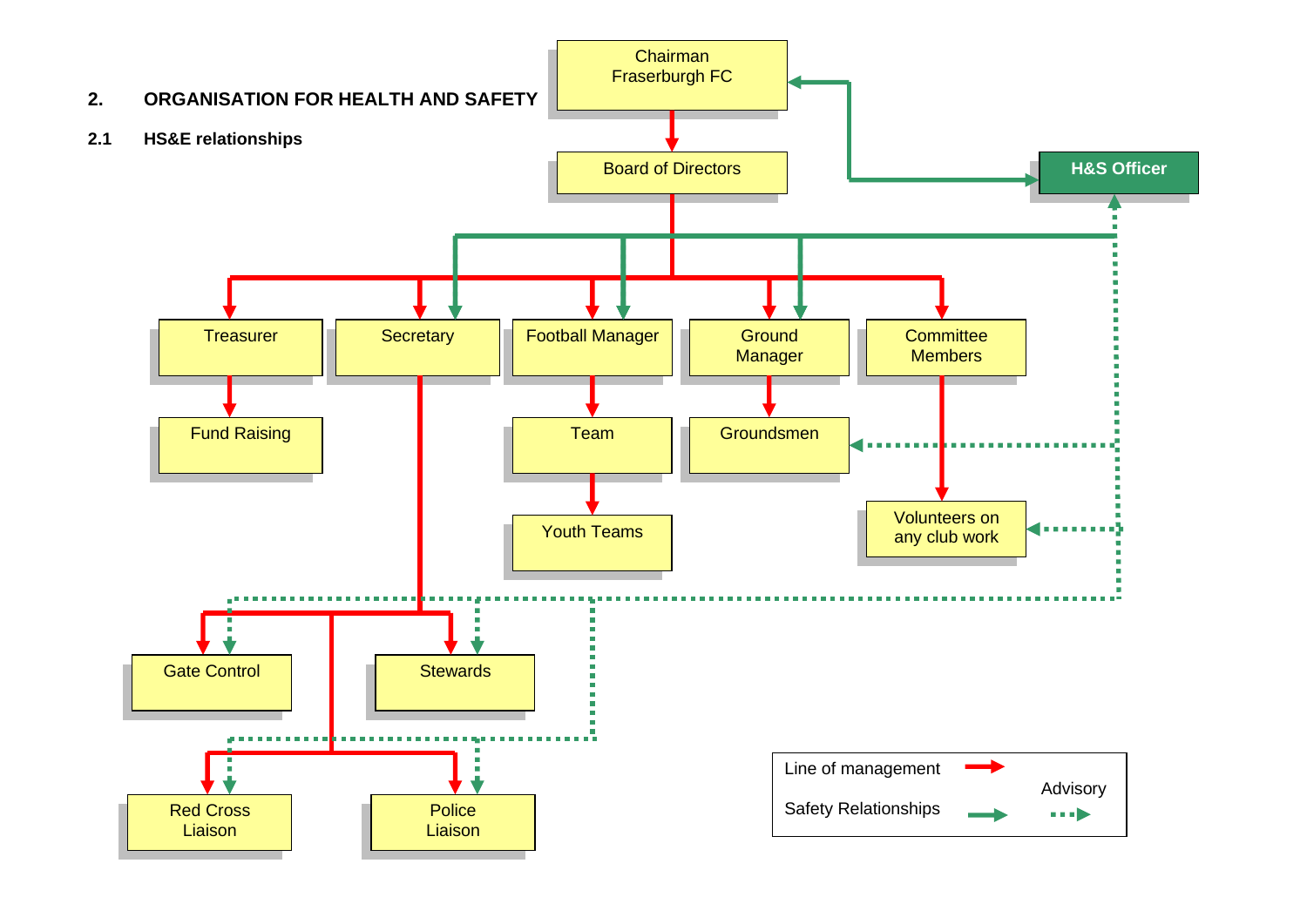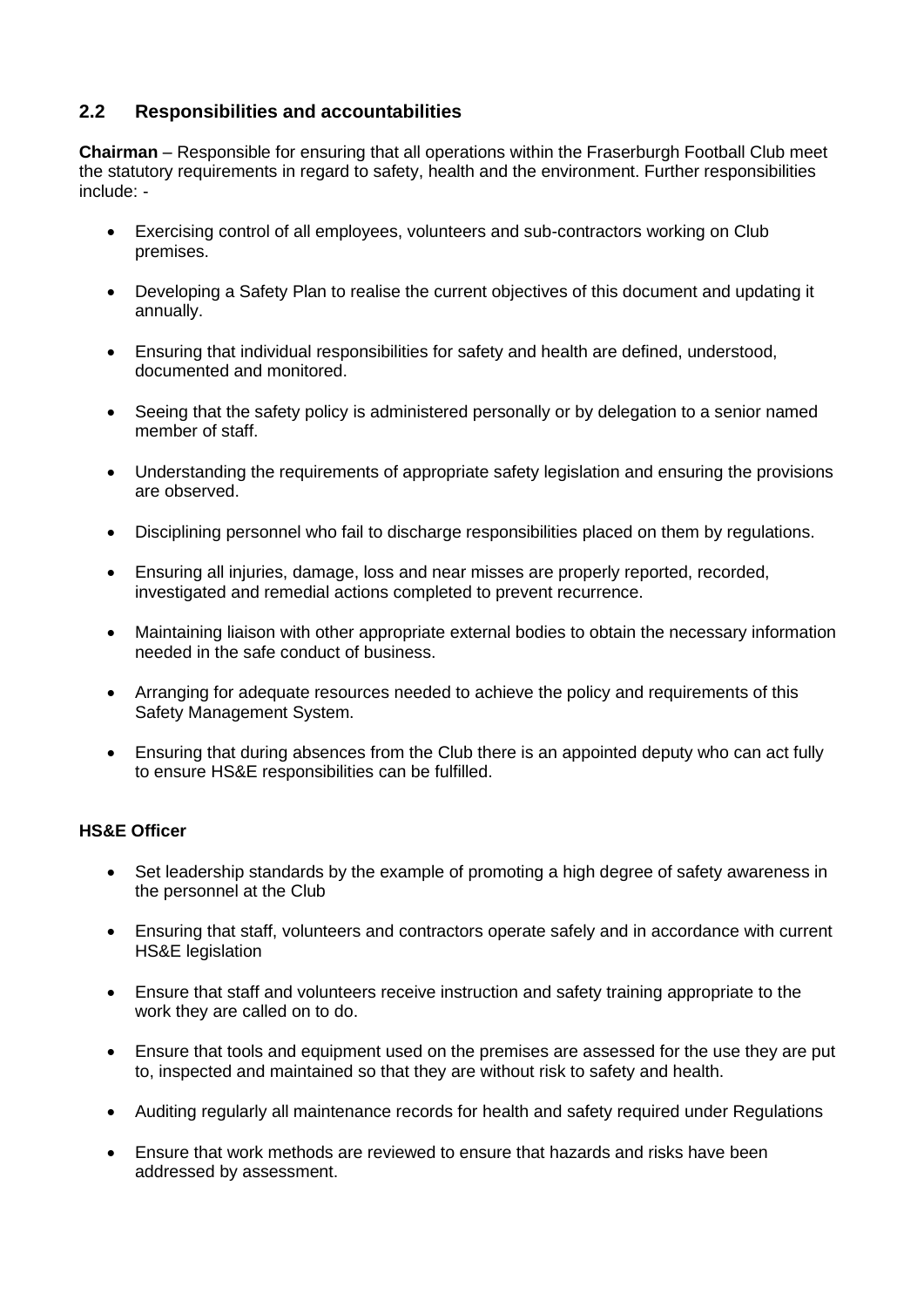### **2.2 Responsibilities and accountabilities**

**Chairman** – Responsible for ensuring that all operations within the Fraserburgh Football Club meet the statutory requirements in regard to safety, health and the environment. Further responsibilities include: -

- Exercising control of all employees, volunteers and sub-contractors working on Club premises.
- Developing a Safety Plan to realise the current objectives of this document and updating it annually.
- Ensuring that individual responsibilities for safety and health are defined, understood, documented and monitored.
- Seeing that the safety policy is administered personally or by delegation to a senior named member of staff.
- Understanding the requirements of appropriate safety legislation and ensuring the provisions are observed.
- Disciplining personnel who fail to discharge responsibilities placed on them by regulations.
- Ensuring all injuries, damage, loss and near misses are properly reported, recorded, investigated and remedial actions completed to prevent recurrence.
- Maintaining liaison with other appropriate external bodies to obtain the necessary information needed in the safe conduct of business.
- Arranging for adequate resources needed to achieve the policy and requirements of this Safety Management System.
- Ensuring that during absences from the Club there is an appointed deputy who can act fully to ensure HS&E responsibilities can be fulfilled.

### **HS&E Officer**

- Set leadership standards by the example of promoting a high degree of safety awareness in the personnel at the Club
- Ensuring that staff, volunteers and contractors operate safely and in accordance with current HS&E legislation
- Ensure that staff and volunteers receive instruction and safety training appropriate to the work they are called on to do.
- Ensure that tools and equipment used on the premises are assessed for the use they are put to, inspected and maintained so that they are without risk to safety and health.
- Auditing regularly all maintenance records for health and safety required under Regulations
- Ensure that work methods are reviewed to ensure that hazards and risks have been addressed by assessment.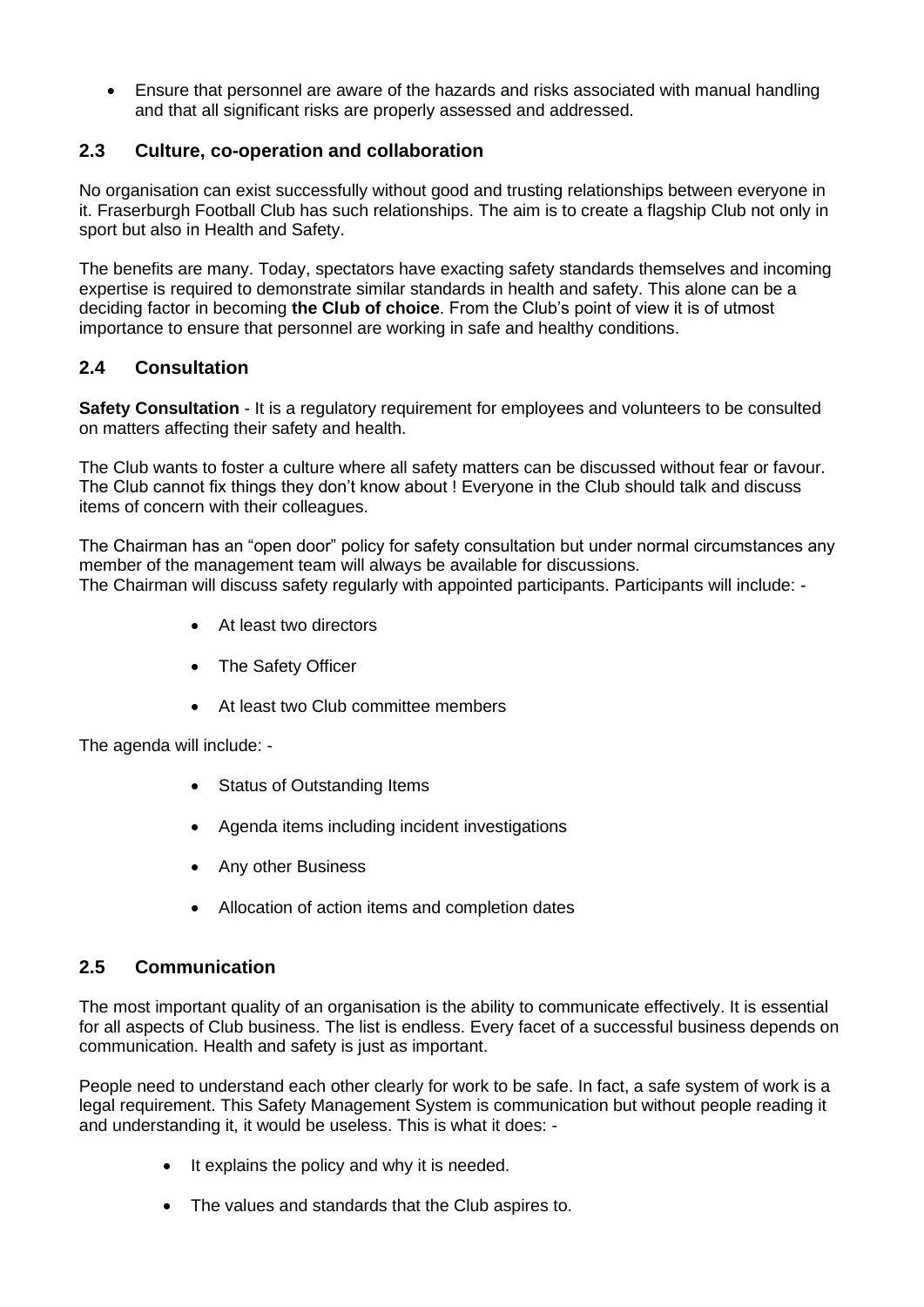• Ensure that personnel are aware of the hazards and risks associated with manual handling and that all significant risks are properly assessed and addressed.

### **2.3 Culture, co-operation and collaboration**

No organisation can exist successfully without good and trusting relationships between everyone in it. Fraserburgh Football Club has such relationships. The aim is to create a flagship Club not only in sport but also in Health and Safety.

The benefits are many. Today, spectators have exacting safety standards themselves and incoming expertise is required to demonstrate similar standards in health and safety. This alone can be a deciding factor in becoming **the Club of choice**. From the Club's point of view it is of utmost importance to ensure that personnel are working in safe and healthy conditions.

### **2.4 Consultation**

**Safety Consultation** - It is a regulatory requirement for employees and volunteers to be consulted on matters affecting their safety and health.

The Club wants to foster a culture where all safety matters can be discussed without fear or favour. The Club cannot fix things they don't know about ! Everyone in the Club should talk and discuss items of concern with their colleagues.

The Chairman has an "open door" policy for safety consultation but under normal circumstances any member of the management team will always be available for discussions. The Chairman will discuss safety regularly with appointed participants. Participants will include: -

- At least two directors
- The Safety Officer
- At least two Club committee members

The agenda will include: -

- Status of Outstanding Items
- Agenda items including incident investigations
- Any other Business
- Allocation of action items and completion dates

### **2.5 Communication**

The most important quality of an organisation is the ability to communicate effectively. It is essential for all aspects of Club business. The list is endless. Every facet of a successful business depends on communication. Health and safety is just as important.

People need to understand each other clearly for work to be safe. In fact, a safe system of work is a legal requirement. This Safety Management System is communication but without people reading it and understanding it, it would be useless. This is what it does: -

- It explains the policy and why it is needed.
- The values and standards that the Club aspires to.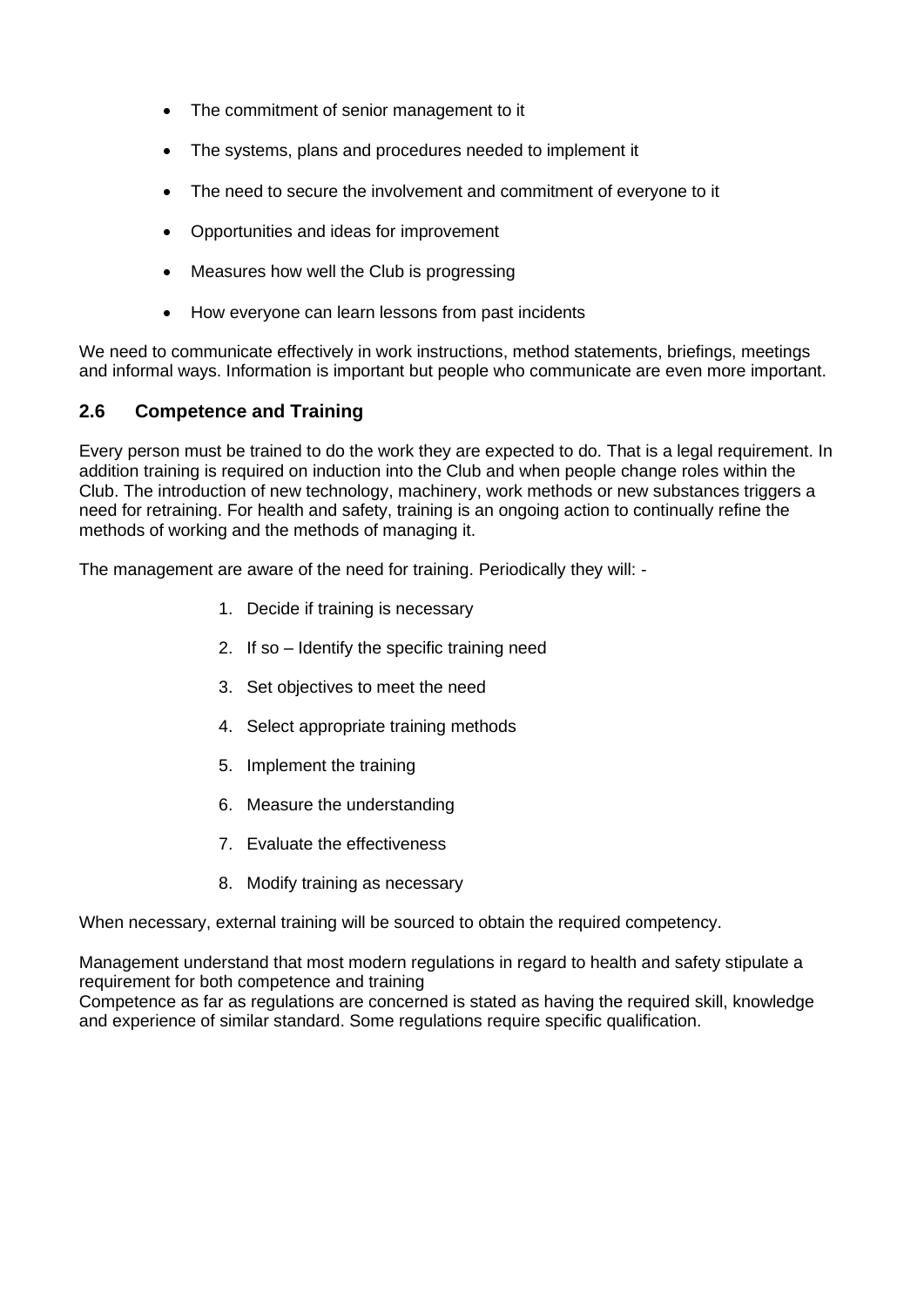- The commitment of senior management to it
- The systems, plans and procedures needed to implement it
- The need to secure the involvement and commitment of everyone to it
- Opportunities and ideas for improvement
- Measures how well the Club is progressing
- How everyone can learn lessons from past incidents

We need to communicate effectively in work instructions, method statements, briefings, meetings and informal ways. Information is important but people who communicate are even more important.

### **2.6 Competence and Training**

Every person must be trained to do the work they are expected to do. That is a legal requirement. In addition training is required on induction into the Club and when people change roles within the Club. The introduction of new technology, machinery, work methods or new substances triggers a need for retraining. For health and safety, training is an ongoing action to continually refine the methods of working and the methods of managing it.

The management are aware of the need for training. Periodically they will: -

- 1. Decide if training is necessary
- 2. If so Identify the specific training need
- 3. Set objectives to meet the need
- 4. Select appropriate training methods
- 5. Implement the training
- 6. Measure the understanding
- 7. Evaluate the effectiveness
- 8. Modify training as necessary

When necessary, external training will be sourced to obtain the required competency.

Management understand that most modern regulations in regard to health and safety stipulate a requirement for both competence and training

Competence as far as regulations are concerned is stated as having the required skill, knowledge and experience of similar standard. Some regulations require specific qualification.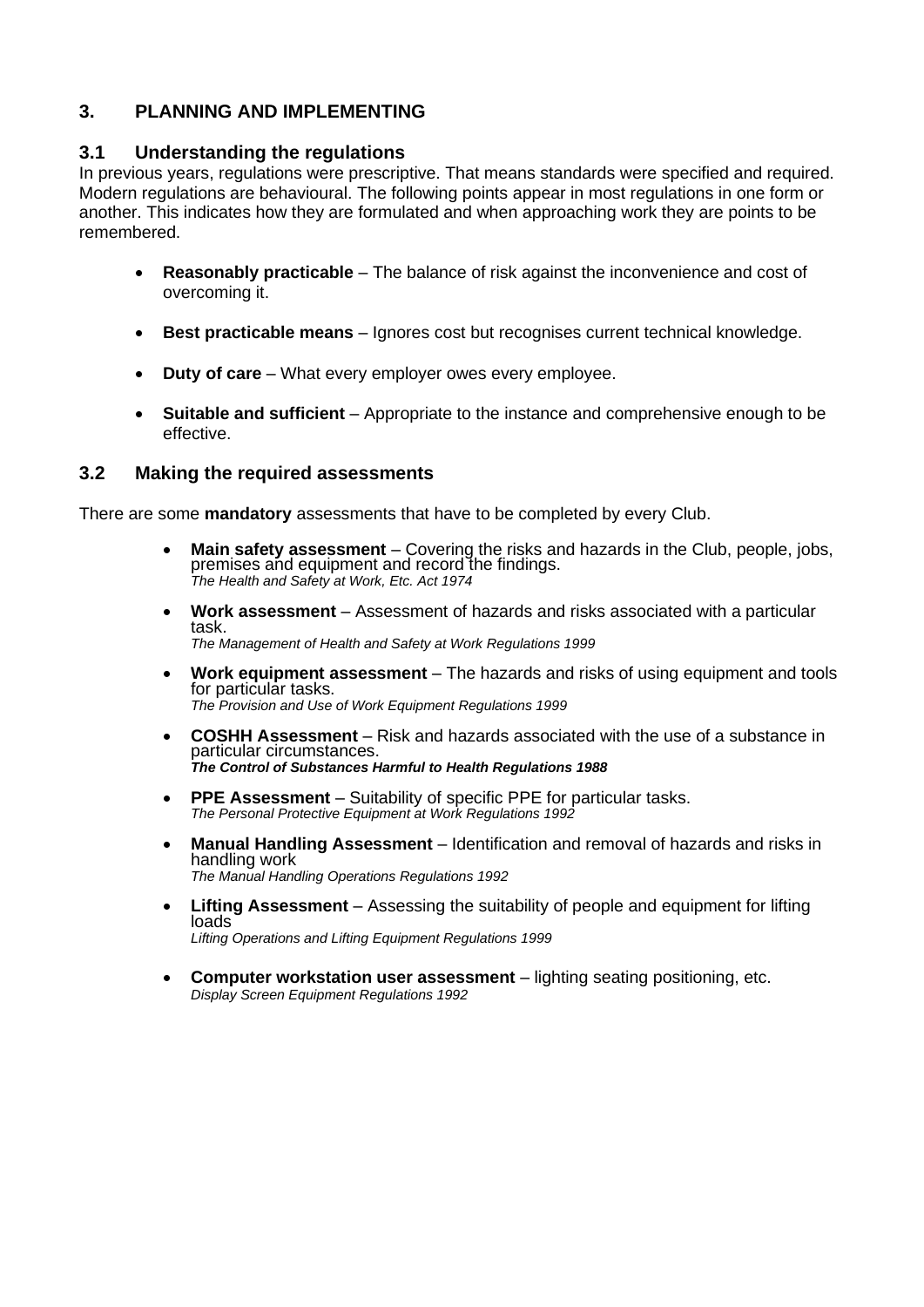### **3. PLANNING AND IMPLEMENTING**

### **3.1 Understanding the regulations**

In previous years, regulations were prescriptive. That means standards were specified and required. Modern regulations are behavioural. The following points appear in most regulations in one form or another. This indicates how they are formulated and when approaching work they are points to be remembered.

- **Reasonably practicable** The balance of risk against the inconvenience and cost of overcoming it.
- **Best practicable means** Ignores cost but recognises current technical knowledge.
- **Duty of care** What every employer owes every employee.
- **Suitable and sufficient** Appropriate to the instance and comprehensive enough to be effective.

### **3.2 Making the required assessments**

There are some **mandatory** assessments that have to be completed by every Club.

- **Main safety assessment** Covering the risks and hazards in the Club, people, jobs, premises and equipment and record the findings. *The Health and Safety at Work, Etc. Act 1974*
- **Work assessment** Assessment of hazards and risks associated with a particular task. *The Management of Health and Safety at Work Regulations 1999*
- **Work equipment assessment** The hazards and risks of using equipment and tools for particular tasks. *The Provision and Use of Work Equipment Regulations 1999*
- **COSHH Assessment** Risk and hazards associated with the use of a substance in particular circumstances. *The Control of Substances Harmful to Health Regulations 1988*
- **PPE Assessment** Suitability of specific PPE for particular tasks. *The Personal Protective Equipment at Work Regulations 1992*
- **Manual Handling Assessment** Identification and removal of hazards and risks in handling work *The Manual Handling Operations Regulations 1992*
- **Lifting Assessment** Assessing the suitability of people and equipment for lifting loads *Lifting Operations and Lifting Equipment Regulations 1999*
- **Computer workstation user assessment** lighting seating positioning, etc. *Display Screen Equipment Regulations 1992*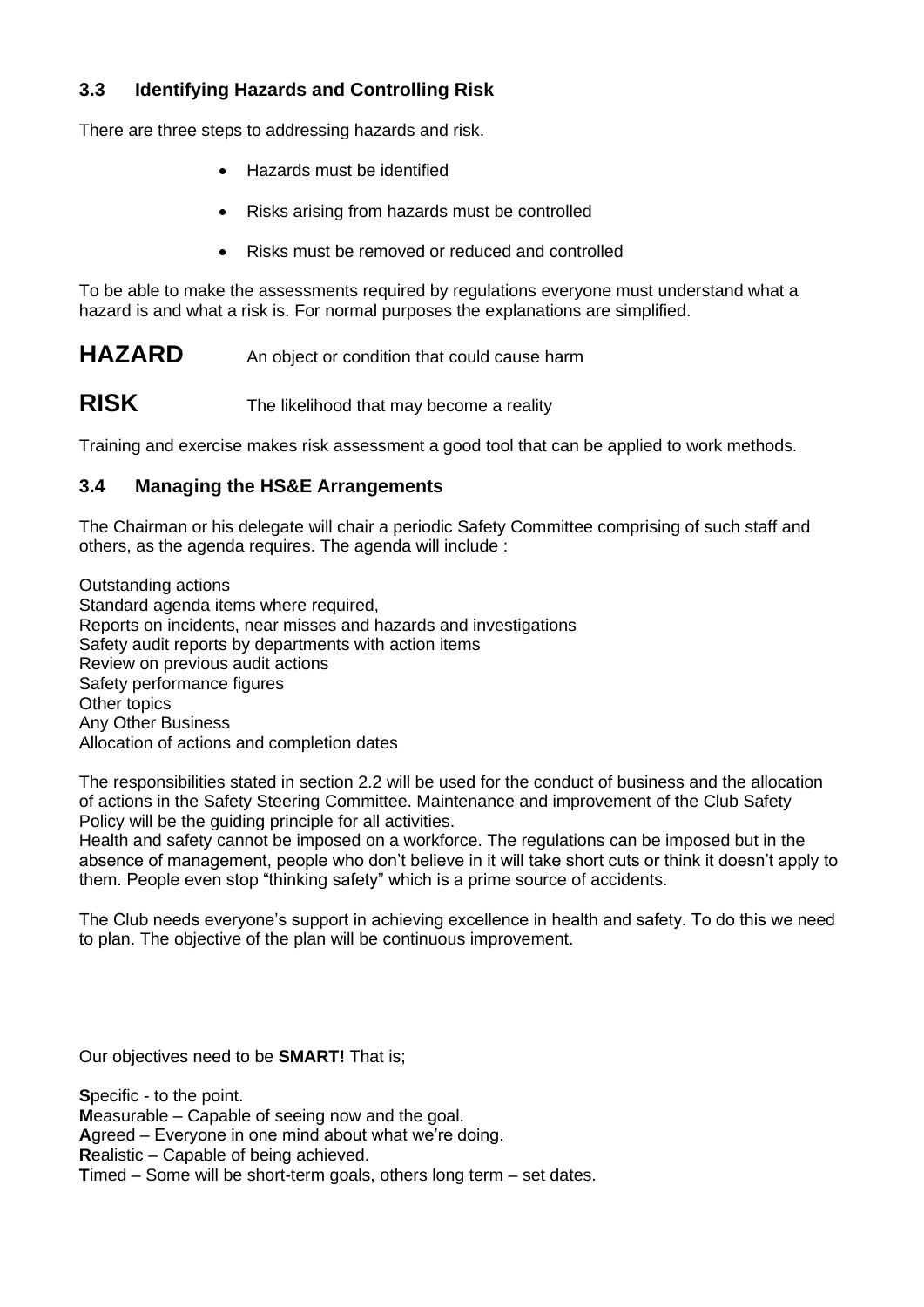### **3.3 Identifying Hazards and Controlling Risk**

There are three steps to addressing hazards and risk.

- Hazards must be identified
- Risks arising from hazards must be controlled
- Risks must be removed or reduced and controlled

To be able to make the assessments required by regulations everyone must understand what a hazard is and what a risk is. For normal purposes the explanations are simplified.

**HAZARD** An object or condition that could cause harm

### **RISK** The likelihood that may become a reality

Training and exercise makes risk assessment a good tool that can be applied to work methods.

### **3.4 Managing the HS&E Arrangements**

The Chairman or his delegate will chair a periodic Safety Committee comprising of such staff and others, as the agenda requires. The agenda will include :

Outstanding actions Standard agenda items where required, Reports on incidents, near misses and hazards and investigations Safety audit reports by departments with action items Review on previous audit actions Safety performance figures Other topics Any Other Business Allocation of actions and completion dates

The responsibilities stated in section 2.2 will be used for the conduct of business and the allocation of actions in the Safety Steering Committee. Maintenance and improvement of the Club Safety Policy will be the guiding principle for all activities.

Health and safety cannot be imposed on a workforce. The regulations can be imposed but in the absence of management, people who don't believe in it will take short cuts or think it doesn't apply to them. People even stop "thinking safety" which is a prime source of accidents.

The Club needs everyone's support in achieving excellence in health and safety. To do this we need to plan. The objective of the plan will be continuous improvement.

Our objectives need to be **SMART!** That is;

**S**pecific - to the point. **M**easurable – Capable of seeing now and the goal. **A**greed – Everyone in one mind about what we're doing. **R**ealistic – Capable of being achieved. **T**imed – Some will be short-term goals, others long term – set dates.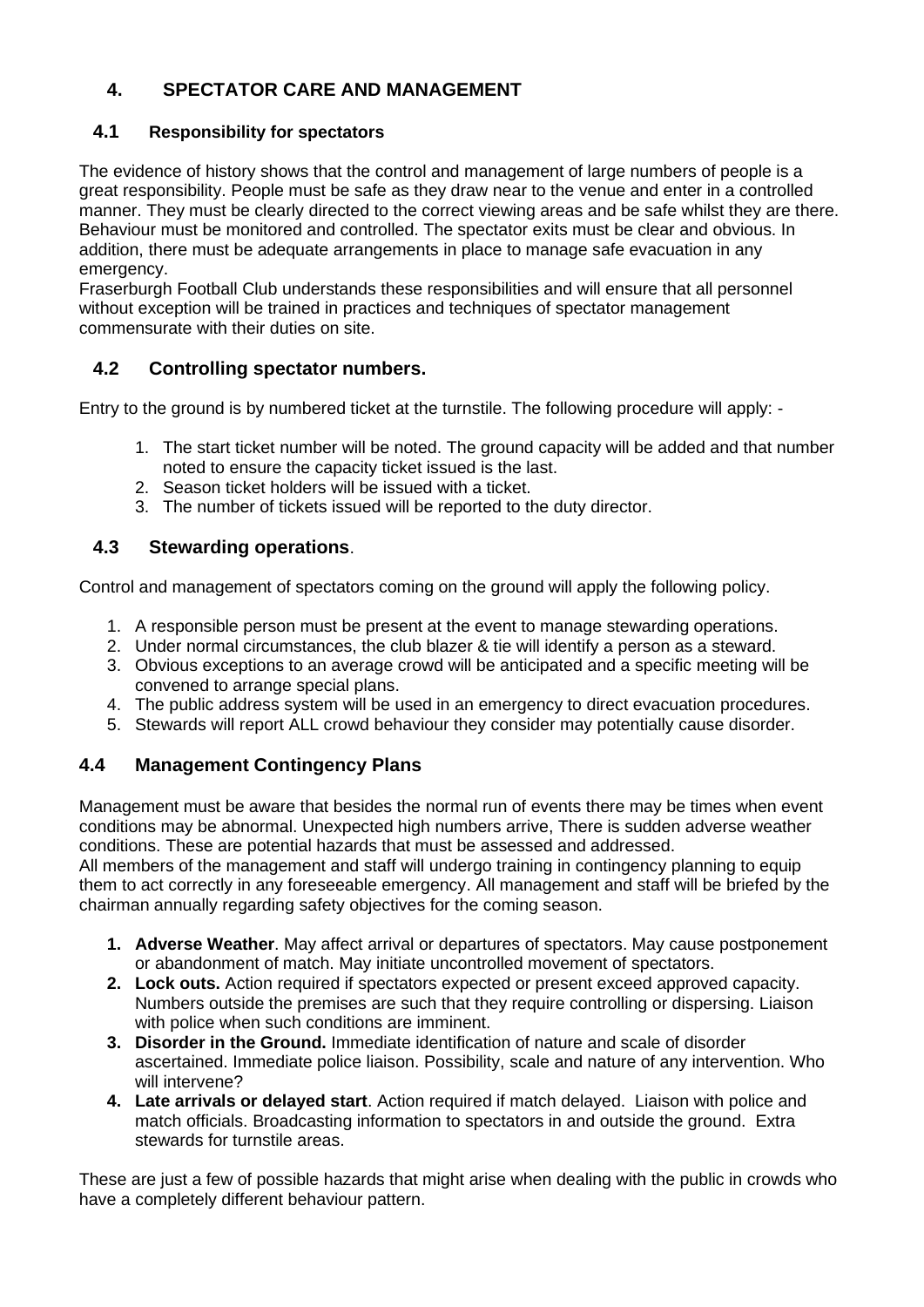### **4. SPECTATOR CARE AND MANAGEMENT**

### **4.1 Responsibility for spectators**

The evidence of history shows that the control and management of large numbers of people is a great responsibility. People must be safe as they draw near to the venue and enter in a controlled manner. They must be clearly directed to the correct viewing areas and be safe whilst they are there. Behaviour must be monitored and controlled. The spectator exits must be clear and obvious. In addition, there must be adequate arrangements in place to manage safe evacuation in any emergency.

Fraserburgh Football Club understands these responsibilities and will ensure that all personnel without exception will be trained in practices and techniques of spectator management commensurate with their duties on site.

### **4.2 Controlling spectator numbers.**

Entry to the ground is by numbered ticket at the turnstile. The following procedure will apply: -

- 1. The start ticket number will be noted. The ground capacity will be added and that number noted to ensure the capacity ticket issued is the last.
- 2. Season ticket holders will be issued with a ticket.
- 3. The number of tickets issued will be reported to the duty director.

### **4.3 Stewarding operations**.

Control and management of spectators coming on the ground will apply the following policy.

- 1. A responsible person must be present at the event to manage stewarding operations.
- 2. Under normal circumstances, the club blazer & tie will identify a person as a steward.
- 3. Obvious exceptions to an average crowd will be anticipated and a specific meeting will be convened to arrange special plans.
- 4. The public address system will be used in an emergency to direct evacuation procedures.
- 5. Stewards will report ALL crowd behaviour they consider may potentially cause disorder.

### **4.4 Management Contingency Plans**

Management must be aware that besides the normal run of events there may be times when event conditions may be abnormal. Unexpected high numbers arrive, There is sudden adverse weather conditions. These are potential hazards that must be assessed and addressed.

All members of the management and staff will undergo training in contingency planning to equip them to act correctly in any foreseeable emergency. All management and staff will be briefed by the chairman annually regarding safety objectives for the coming season.

- **1. Adverse Weather**. May affect arrival or departures of spectators. May cause postponement or abandonment of match. May initiate uncontrolled movement of spectators.
- **2. Lock outs.** Action required if spectators expected or present exceed approved capacity. Numbers outside the premises are such that they require controlling or dispersing. Liaison with police when such conditions are imminent.
- **3. Disorder in the Ground.** Immediate identification of nature and scale of disorder ascertained. Immediate police liaison. Possibility, scale and nature of any intervention. Who will intervene?
- **4. Late arrivals or delayed start**. Action required if match delayed. Liaison with police and match officials. Broadcasting information to spectators in and outside the ground. Extra stewards for turnstile areas.

These are just a few of possible hazards that might arise when dealing with the public in crowds who have a completely different behaviour pattern.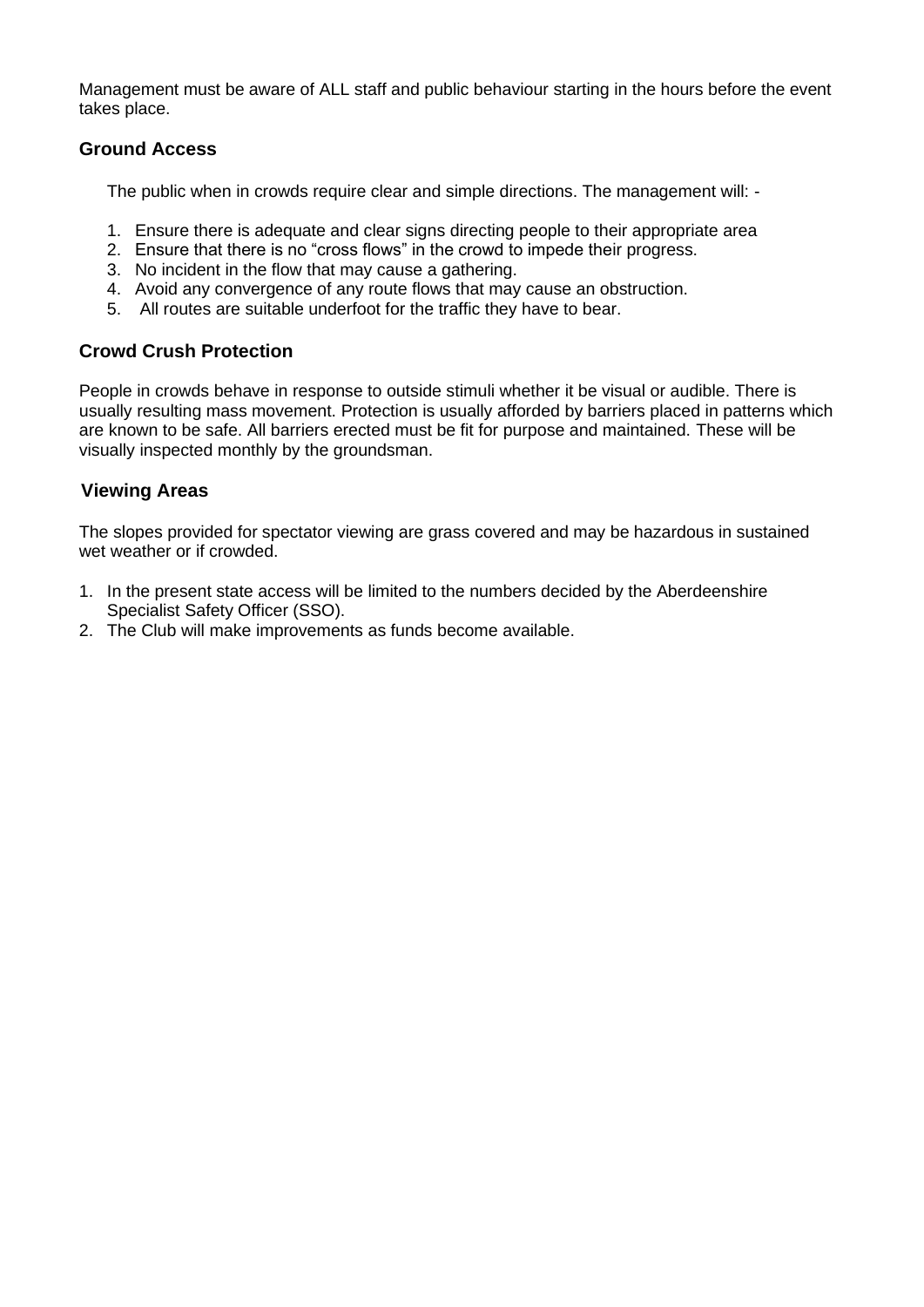Management must be aware of ALL staff and public behaviour starting in the hours before the event takes place.

### **Ground Access**

The public when in crowds require clear and simple directions. The management will: -

- 1. Ensure there is adequate and clear signs directing people to their appropriate area
- 2. Ensure that there is no "cross flows" in the crowd to impede their progress.
- 3. No incident in the flow that may cause a gathering.
- 4. Avoid any convergence of any route flows that may cause an obstruction.
- 5. All routes are suitable underfoot for the traffic they have to bear.

### **Crowd Crush Protection**

People in crowds behave in response to outside stimuli whether it be visual or audible. There is usually resulting mass movement. Protection is usually afforded by barriers placed in patterns which are known to be safe. All barriers erected must be fit for purpose and maintained. These will be visually inspected monthly by the groundsman.

### **Viewing Areas**

The slopes provided for spectator viewing are grass covered and may be hazardous in sustained wet weather or if crowded.

- 1. In the present state access will be limited to the numbers decided by the Aberdeenshire Specialist Safety Officer (SSO).
- 2. The Club will make improvements as funds become available.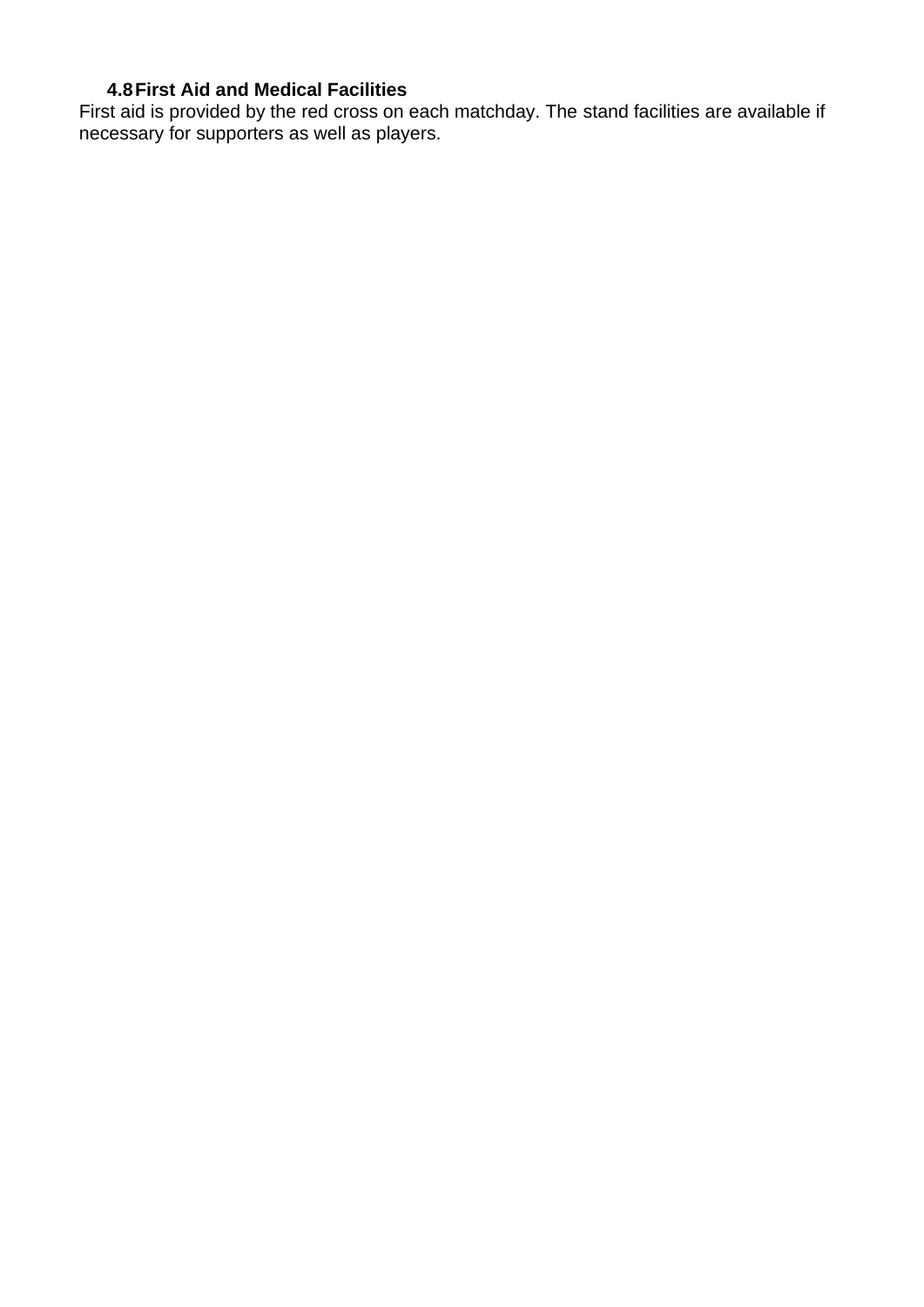### **4.8First Aid and Medical Facilities**

First aid is provided by the red cross on each matchday. The stand facilities are available if necessary for supporters as well as players.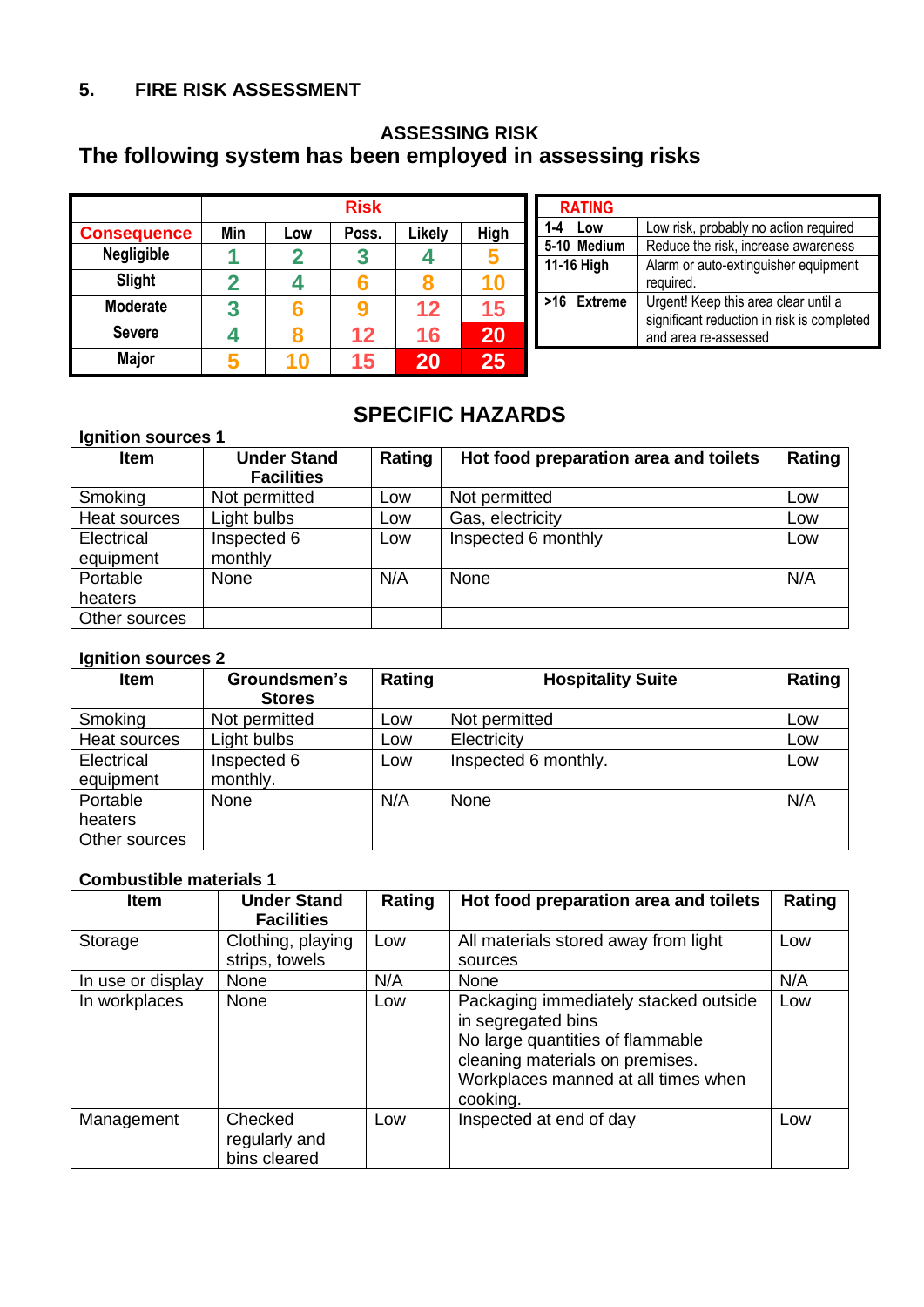### **5. FIRE RISK ASSESSMENT**

### **ASSESSING RISK The following system has been employed in assessing risks**

|                    |     |     | <b>Risk</b> |        |      | <b>RATING</b>         |                                                                                    |
|--------------------|-----|-----|-------------|--------|------|-----------------------|------------------------------------------------------------------------------------|
| <b>Consequence</b> | Min | Low | Poss.       | ∟ikely | High | 1-4<br>Low            | Low risk, probably no action required                                              |
| <b>Negligible</b>  |     |     |             |        |      | 5-10 Medium           | Reduce the risk, increase awareness                                                |
|                    |     |     |             |        |      | 11-16 High            | Alarm or auto-extinguisher equipment                                               |
| Slight             |     |     |             |        |      |                       | required.                                                                          |
| <b>Moderate</b>    |     |     |             | 12     |      | <b>Extreme</b><br>>16 | Urgent! Keep this area clear until a<br>significant reduction in risk is completed |
| <b>Severe</b>      |     |     | 12          | 16     | 20   |                       | and area re-assessed                                                               |
| Major              |     |     | 15          | 20     | 25   |                       |                                                                                    |

### **SPECIFIC HAZARDS**

| Ignition sources 1      |                                         |        |                                       |        |  |
|-------------------------|-----------------------------------------|--------|---------------------------------------|--------|--|
| <b>Item</b>             | <b>Under Stand</b><br><b>Facilities</b> | Rating | Hot food preparation area and toilets | Rating |  |
| Smoking                 | Not permitted                           | Low    | Not permitted                         | Low    |  |
| Heat sources            | Light bulbs                             | Low    | Gas, electricity                      | Low    |  |
| Electrical<br>equipment | Inspected 6<br>monthly                  | Low    | Inspected 6 monthly                   | Low    |  |
| Portable                | None                                    | N/A    | None                                  | N/A    |  |
| heaters                 |                                         |        |                                       |        |  |
| Other sources           |                                         |        |                                       |        |  |

### **Ignition sources 2**

| <b>Item</b>   | Groundsmen's  | Rating | <b>Hospitality Suite</b> | Rating |
|---------------|---------------|--------|--------------------------|--------|
|               | <b>Stores</b> |        |                          |        |
| Smoking       | Not permitted | Low    | Not permitted            | Low    |
| Heat sources  | Light bulbs   | Low    | Electricity              | Low    |
| Electrical    | Inspected 6   | Low    | Inspected 6 monthly.     | Low    |
| equipment     | monthly.      |        |                          |        |
| Portable      | None          | N/A    | None                     | N/A    |
| heaters       |               |        |                          |        |
| Other sources |               |        |                          |        |

### **Combustible materials 1**

| <b>Item</b>       | <b>Under Stand</b><br><b>Facilities</b>  | Rating | Hot food preparation area and toilets                                                                                                                                                 | Rating |
|-------------------|------------------------------------------|--------|---------------------------------------------------------------------------------------------------------------------------------------------------------------------------------------|--------|
| Storage           | Clothing, playing<br>strips, towels      | Low    | All materials stored away from light<br>sources                                                                                                                                       | Low    |
| In use or display | None                                     | N/A    | None                                                                                                                                                                                  | N/A    |
| In workplaces     | None                                     | Low    | Packaging immediately stacked outside<br>in segregated bins<br>No large quantities of flammable<br>cleaning materials on premises.<br>Workplaces manned at all times when<br>cooking. | Low    |
| Management        | Checked<br>regularly and<br>bins cleared | Low    | Inspected at end of day                                                                                                                                                               | Low    |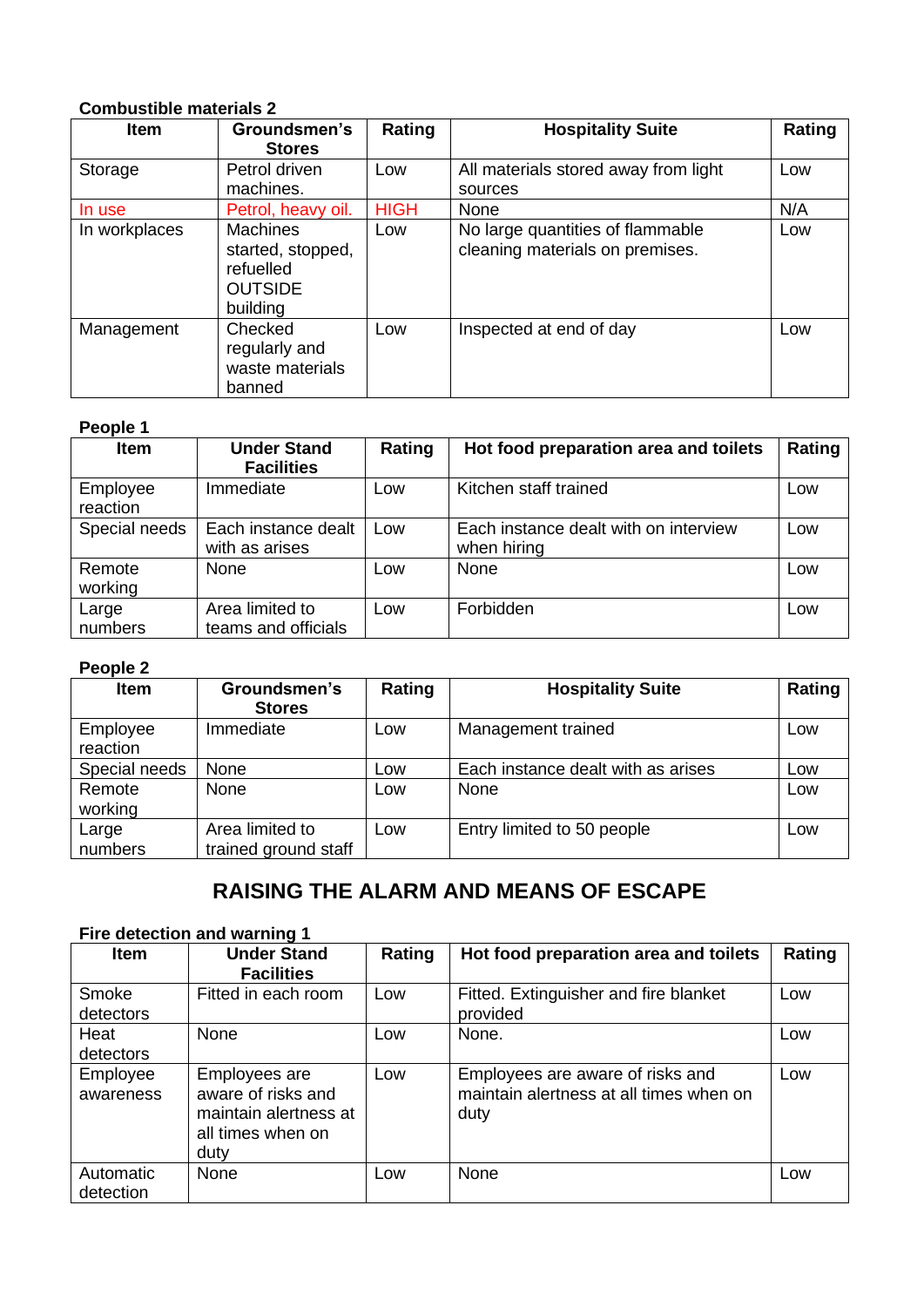#### **Combustible materials 2**

| <b>Item</b>   | Groundsmen's<br><b>Stores</b>                                                   | Rating      | <b>Hospitality Suite</b>                                            | Rating |
|---------------|---------------------------------------------------------------------------------|-------------|---------------------------------------------------------------------|--------|
| Storage       | Petrol driven<br>machines.                                                      | Low         | All materials stored away from light<br>sources                     | Low    |
| In use        | Petrol, heavy oil.                                                              | <b>HIGH</b> | None                                                                | N/A    |
| In workplaces | <b>Machines</b><br>started, stopped,<br>refuelled<br><b>OUTSIDE</b><br>building | Low         | No large quantities of flammable<br>cleaning materials on premises. | Low    |
| Management    | Checked<br>regularly and<br>waste materials<br>banned                           | Low         | Inspected at end of day                                             | Low    |

### **People 1**

| <b>Item</b>          | <b>Under Stand</b><br><b>Facilities</b> | Rating | Hot food preparation area and toilets                | Rating |
|----------------------|-----------------------------------------|--------|------------------------------------------------------|--------|
| Employee<br>reaction | Immediate                               | Low    | Kitchen staff trained                                | Low    |
| Special needs        | Each instance dealt<br>with as arises   | Low    | Each instance dealt with on interview<br>when hiring | Low    |
| Remote<br>working    | None                                    | Low    | None                                                 | Low    |
| Large<br>numbers     | Area limited to<br>teams and officials  | Low    | Forbidden                                            | Low    |

#### **People 2**

| <b>Item</b>          | Groundsmen's<br><b>Stores</b>           | Rating | <b>Hospitality Suite</b>           | Rating |
|----------------------|-----------------------------------------|--------|------------------------------------|--------|
| Employee<br>reaction | Immediate                               | Low    | Management trained                 | Low    |
| Special needs        | None                                    | Low    | Each instance dealt with as arises | Low    |
| Remote<br>working    | None                                    | Low    | None                               | Low    |
| Large<br>numbers     | Area limited to<br>trained ground staff | Low    | Entry limited to 50 people         | Low    |

### **RAISING THE ALARM AND MEANS OF ESCAPE**

### **Fire detection and warning 1**

| <b>Item</b>            | <b>Under Stand</b><br><b>Facilities</b>                                                   | Rating | Hot food preparation area and toilets                                               | Rating |
|------------------------|-------------------------------------------------------------------------------------------|--------|-------------------------------------------------------------------------------------|--------|
| Smoke<br>detectors     | Fitted in each room                                                                       | Low    | Fitted. Extinguisher and fire blanket<br>provided                                   | Low    |
| Heat<br>detectors      | None                                                                                      | Low    | None.                                                                               | Low    |
| Employee<br>awareness  | Employees are<br>aware of risks and<br>maintain alertness at<br>all times when on<br>duty | Low    | Employees are aware of risks and<br>maintain alertness at all times when on<br>duty | Low    |
| Automatic<br>detection | None                                                                                      | Low    | None                                                                                | Low    |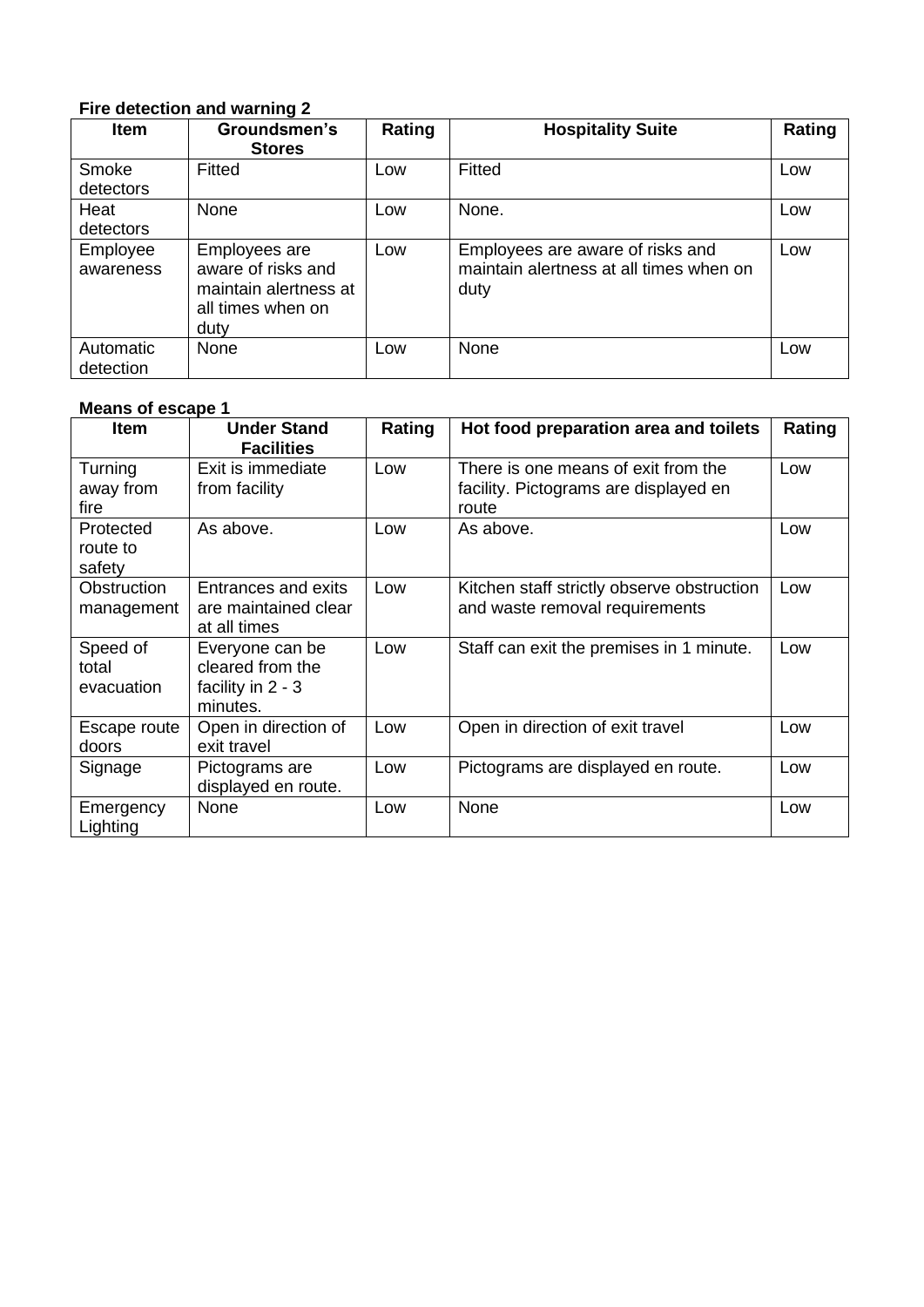### **Fire detection and warning 2**

| <b>Item</b>            | Groundsmen's<br><b>Stores</b>                                                             | Rating | <b>Hospitality Suite</b>                                                            | Rating |
|------------------------|-------------------------------------------------------------------------------------------|--------|-------------------------------------------------------------------------------------|--------|
| Smoke<br>detectors     | Fitted                                                                                    | Low    | Fitted                                                                              | Low    |
| Heat<br>detectors      | None                                                                                      | Low    | None.                                                                               | Low    |
| Employee<br>awareness  | Employees are<br>aware of risks and<br>maintain alertness at<br>all times when on<br>duty | Low    | Employees are aware of risks and<br>maintain alertness at all times when on<br>duty | Low    |
| Automatic<br>detection | None                                                                                      | Low    | None                                                                                | Low    |

### **Means of escape 1**

| <b>Item</b>                     | <b>Under Stand</b><br><b>Facilities</b>                              | Rating | Hot food preparation area and toilets                                                 | Rating |
|---------------------------------|----------------------------------------------------------------------|--------|---------------------------------------------------------------------------------------|--------|
| Turning<br>away from<br>fire    | Exit is immediate<br>from facility                                   | Low    | There is one means of exit from the<br>facility. Pictograms are displayed en<br>route | Low    |
| Protected<br>route to<br>safety | As above.                                                            | Low    | As above.                                                                             | Low    |
| Obstruction<br>management       | Entrances and exits<br>are maintained clear<br>at all times          | Low    | Kitchen staff strictly observe obstruction<br>and waste removal requirements          | Low    |
| Speed of<br>total<br>evacuation | Everyone can be<br>cleared from the<br>facility in 2 - 3<br>minutes. | Low    | Staff can exit the premises in 1 minute.                                              | Low    |
| Escape route<br>doors           | Open in direction of<br>exit travel                                  | Low    | Open in direction of exit travel                                                      | Low    |
| Signage                         | Pictograms are<br>displayed en route.                                | Low    | Pictograms are displayed en route.                                                    | Low    |
| Emergency<br>Lighting           | None                                                                 | Low    | None                                                                                  | Low    |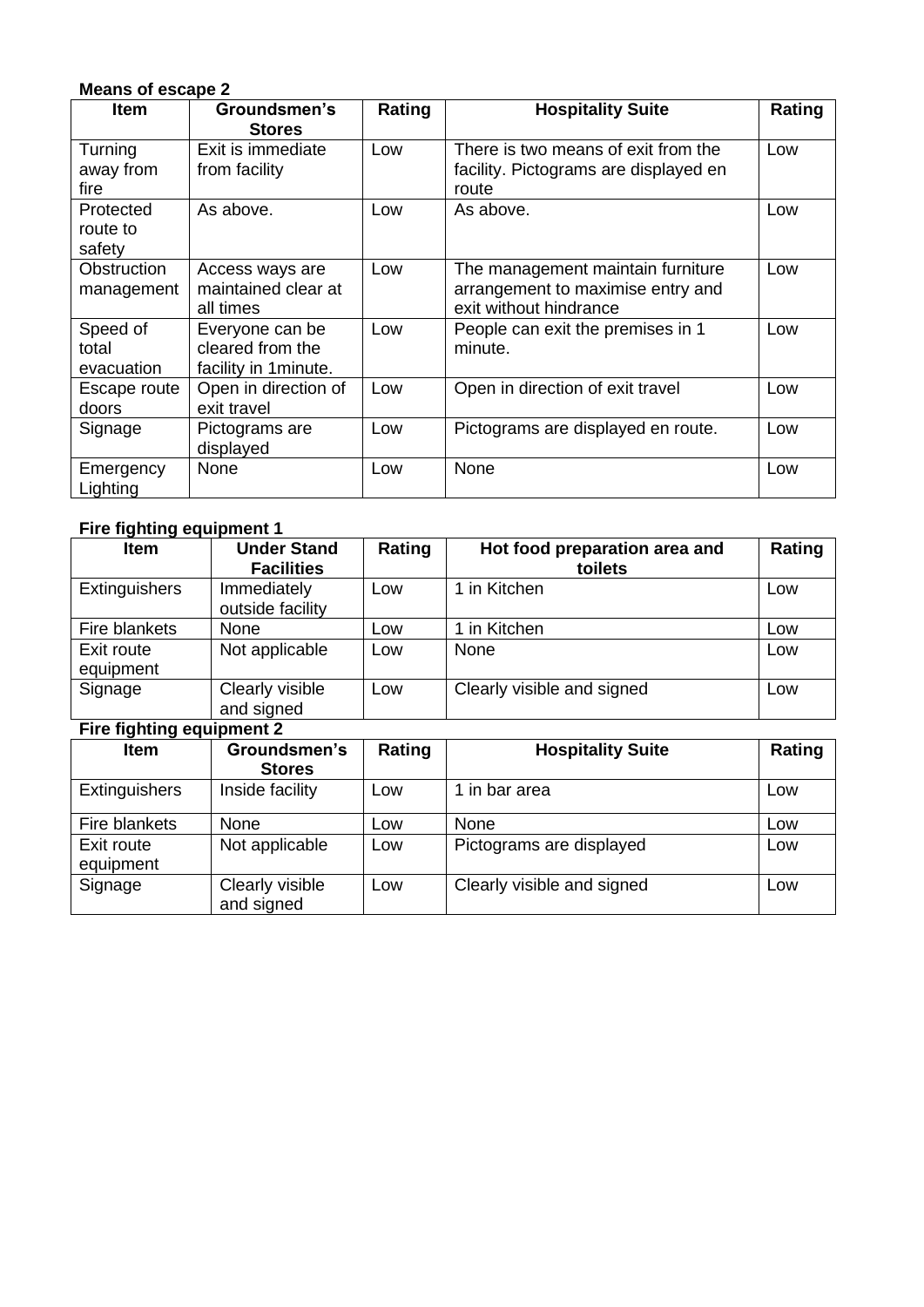|                                 | <b>Means of escape 2</b>                                     |        |                                                                                                  |        |  |  |
|---------------------------------|--------------------------------------------------------------|--------|--------------------------------------------------------------------------------------------------|--------|--|--|
| <b>Item</b>                     | Groundsmen's<br><b>Stores</b>                                | Rating | <b>Hospitality Suite</b>                                                                         | Rating |  |  |
| Turning<br>away from<br>fire    | Exit is immediate<br>from facility                           | Low    | There is two means of exit from the<br>facility. Pictograms are displayed en<br>route            | Low    |  |  |
| Protected<br>route to<br>safety | As above.                                                    | Low    | As above.                                                                                        | Low    |  |  |
| Obstruction<br>management       | Access ways are<br>maintained clear at<br>all times          | Low    | The management maintain furniture<br>arrangement to maximise entry and<br>exit without hindrance | Low    |  |  |
| Speed of<br>total<br>evacuation | Everyone can be<br>cleared from the<br>facility in 1 minute. | Low    | People can exit the premises in 1<br>minute.                                                     | Low    |  |  |
| Escape route<br>doors           | Open in direction of<br>exit travel                          | Low    | Open in direction of exit travel                                                                 | Low    |  |  |
| Signage                         | Pictograms are<br>displayed                                  | Low    | Pictograms are displayed en route.                                                               | Low    |  |  |
| Emergency<br>Lighting           | None                                                         | Low    | None                                                                                             | Low    |  |  |

### **Fire fighting equipment 1**

| <b>Item</b>             | <b>Under Stand</b><br><b>Facilities</b> | Rating | Hot food preparation area and<br>toilets | Rating |
|-------------------------|-----------------------------------------|--------|------------------------------------------|--------|
| Extinguishers           | Immediately<br>outside facility         | Low    | 1 in Kitchen                             | Low    |
| Fire blankets           | None                                    | Low    | 1 in Kitchen                             | Low    |
| Exit route<br>equipment | Not applicable                          | Low    | None                                     | Low    |
| Signage                 | Clearly visible<br>and signed           | Low    | Clearly visible and signed               | Low    |

### **Fire fighting equipment 2**

| <b>Item</b>             | Groundsmen's<br><b>Stores</b> | Rating | <b>Hospitality Suite</b>   | Rating |
|-------------------------|-------------------------------|--------|----------------------------|--------|
| <b>Extinguishers</b>    | Inside facility               | Low    | 1 in bar area              | Low    |
| Fire blankets           | None                          | Low    | None                       | Low    |
| Exit route<br>equipment | Not applicable                | Low    | Pictograms are displayed   | Low    |
| Signage                 | Clearly visible<br>and signed | Low    | Clearly visible and signed | Low    |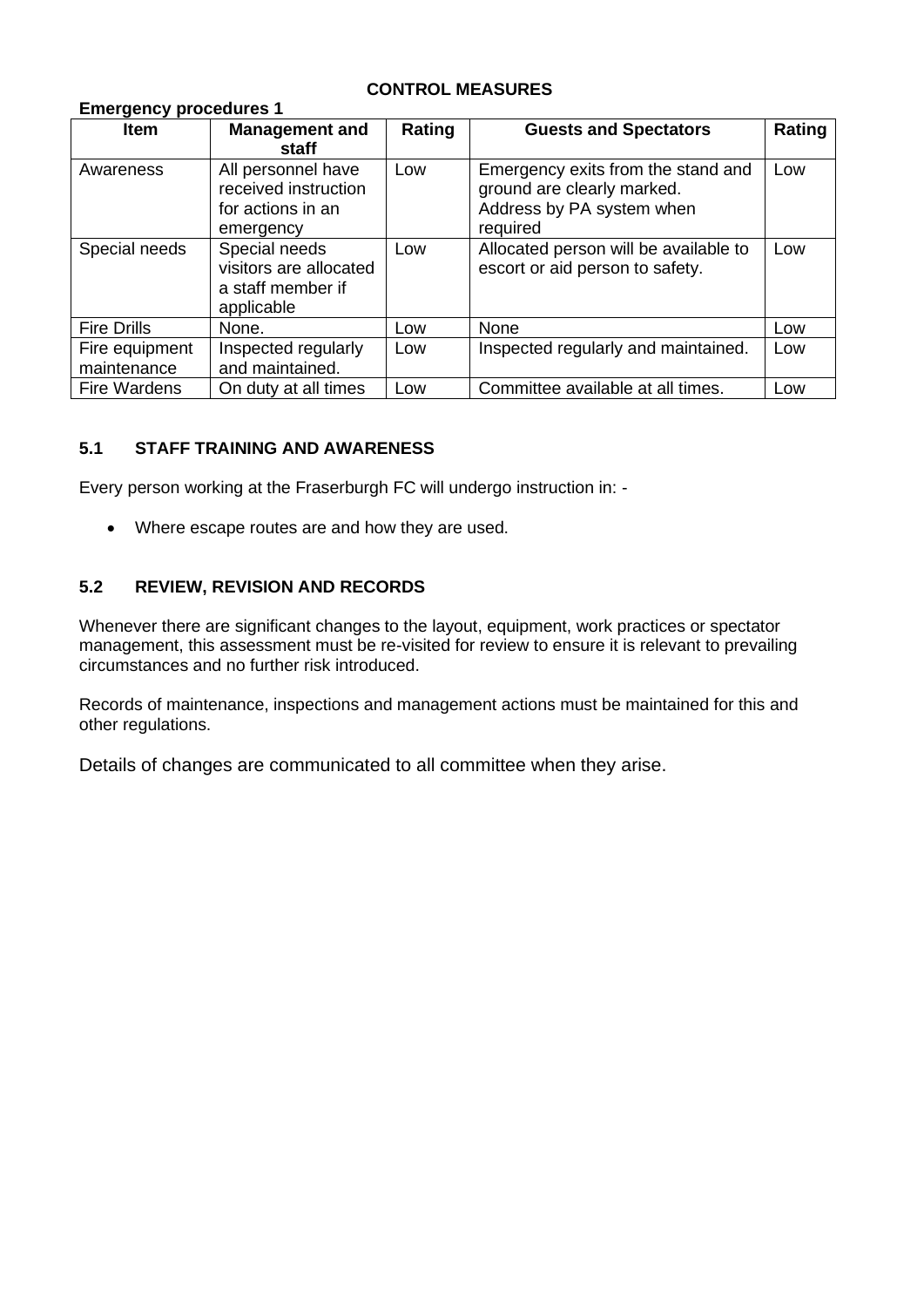### **CONTROL MEASURES**

#### **Emergency procedures 1**

| <b>Item</b>                   | <b>Management and</b><br>staff                                               | Rating | <b>Guests and Spectators</b>                                                                              | Rating |
|-------------------------------|------------------------------------------------------------------------------|--------|-----------------------------------------------------------------------------------------------------------|--------|
| Awareness                     | All personnel have<br>received instruction<br>for actions in an<br>emergency | Low    | Emergency exits from the stand and<br>ground are clearly marked.<br>Address by PA system when<br>required | Low    |
| Special needs                 | Special needs<br>visitors are allocated<br>a staff member if<br>applicable   | Low    | Allocated person will be available to<br>escort or aid person to safety.                                  | Low    |
| <b>Fire Drills</b>            | None.                                                                        | Low    | None                                                                                                      | Low    |
| Fire equipment<br>maintenance | Inspected regularly<br>and maintained.                                       | Low    | Inspected regularly and maintained.                                                                       | Low    |
| <b>Fire Wardens</b>           | On duty at all times                                                         | Low    | Committee available at all times.                                                                         | Low    |

### **5.1 STAFF TRAINING AND AWARENESS**

Every person working at the Fraserburgh FC will undergo instruction in: -

• Where escape routes are and how they are used.

### **5.2 REVIEW, REVISION AND RECORDS**

Whenever there are significant changes to the layout, equipment, work practices or spectator management, this assessment must be re-visited for review to ensure it is relevant to prevailing circumstances and no further risk introduced.

Records of maintenance, inspections and management actions must be maintained for this and other regulations.

Details of changes are communicated to all committee when they arise.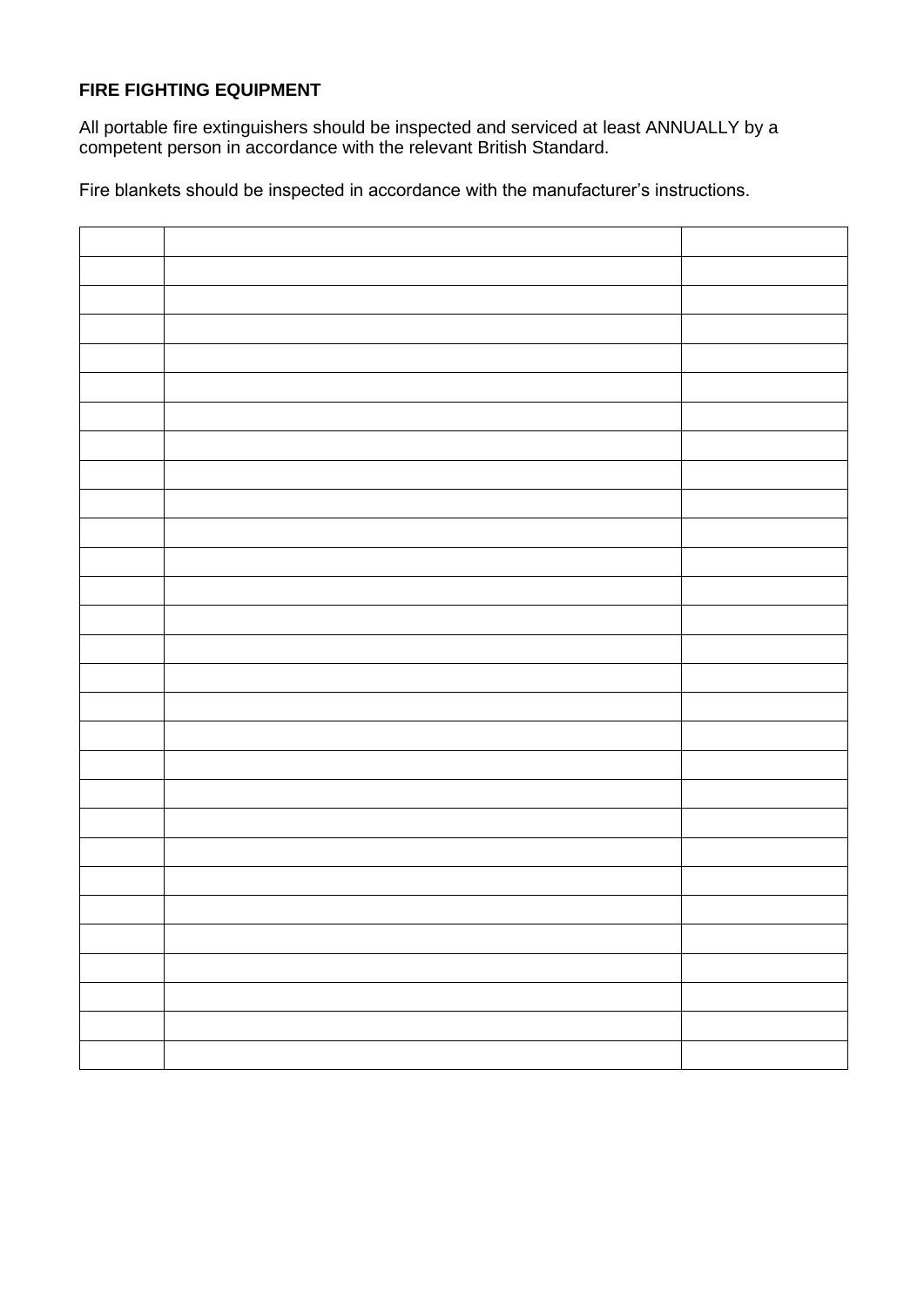### **FIRE FIGHTING EQUIPMENT**

All portable fire extinguishers should be inspected and serviced at least ANNUALLY by a competent person in accordance with the relevant British Standard.

Fire blankets should be inspected in accordance with the manufacturer's instructions.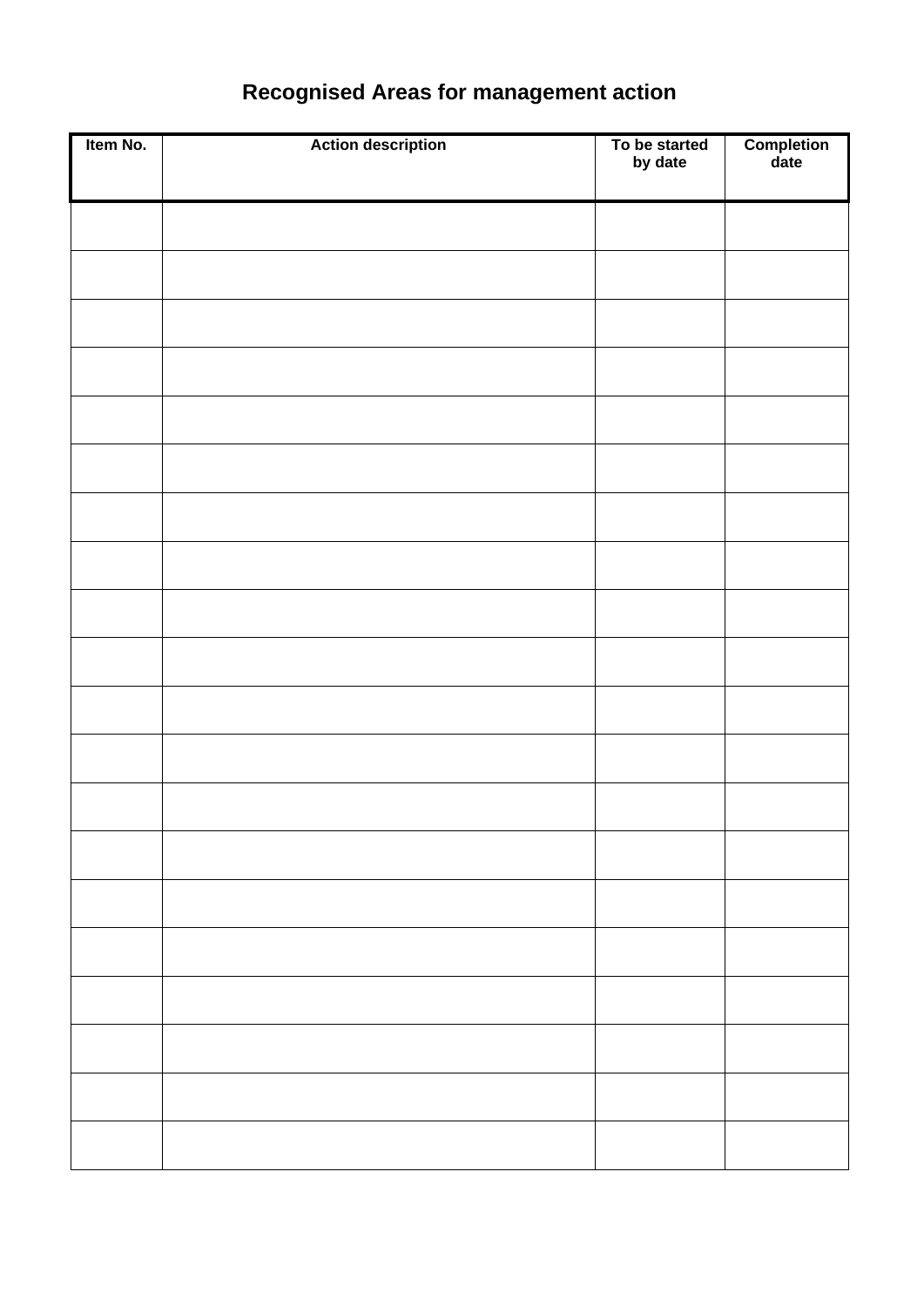| Item No. | <b>Action description</b> | To be started<br>by date | Completion<br>date |
|----------|---------------------------|--------------------------|--------------------|
|          |                           |                          |                    |
|          |                           |                          |                    |
|          |                           |                          |                    |
|          |                           |                          |                    |
|          |                           |                          |                    |
|          |                           |                          |                    |
|          |                           |                          |                    |
|          |                           |                          |                    |
|          |                           |                          |                    |
|          |                           |                          |                    |
|          |                           |                          |                    |
|          |                           |                          |                    |
|          |                           |                          |                    |
|          |                           |                          |                    |
|          |                           |                          |                    |
|          |                           |                          |                    |
|          |                           |                          |                    |
|          |                           |                          |                    |
|          |                           |                          |                    |
|          |                           |                          |                    |

# **Recognised Areas for management action**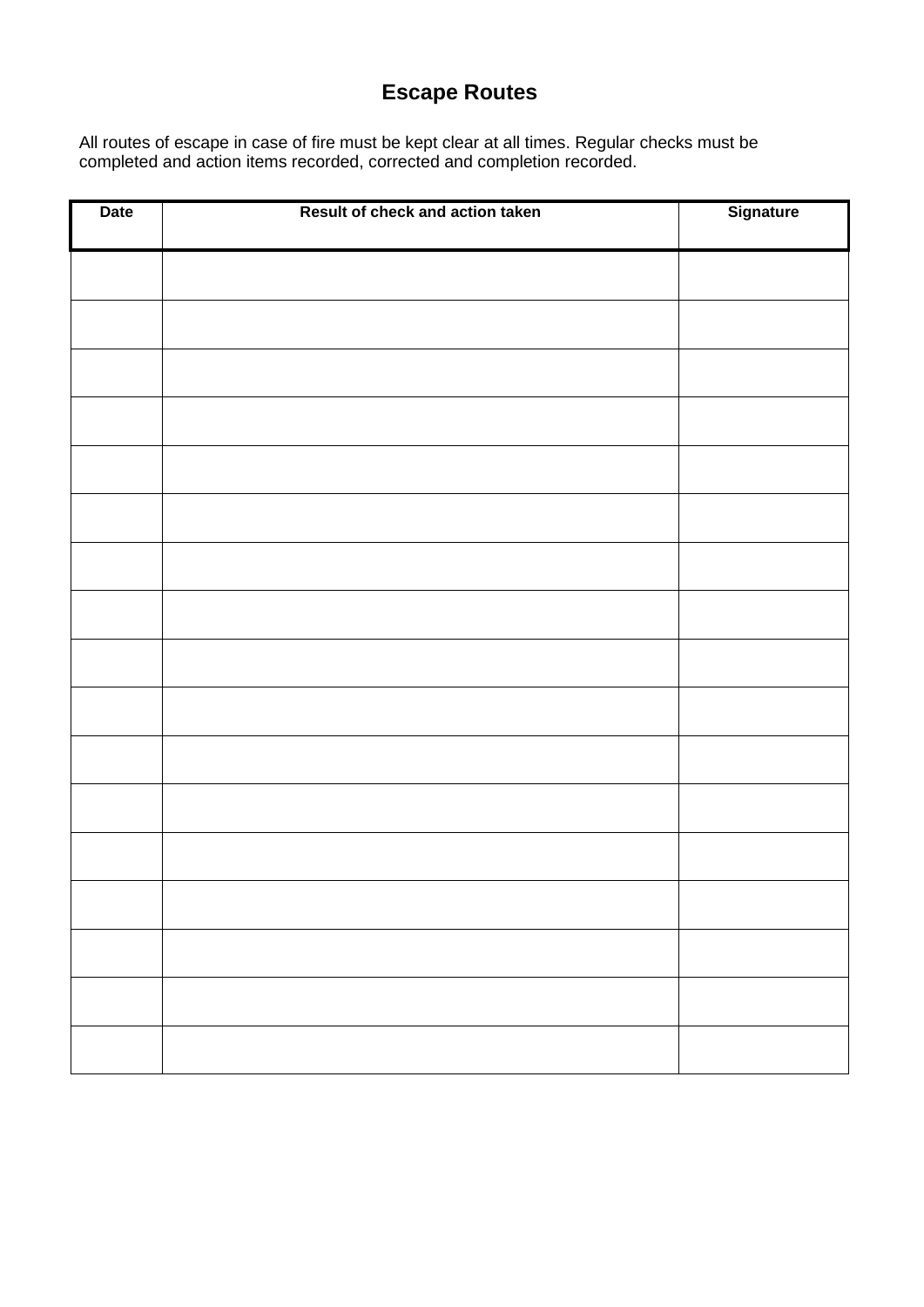### **Escape Routes**

All routes of escape in case of fire must be kept clear at all times. Regular checks must be completed and action items recorded, corrected and completion recorded.

| <b>Date</b> | Result of check and action taken | Signature |
|-------------|----------------------------------|-----------|
|             |                                  |           |
|             |                                  |           |
|             |                                  |           |
|             |                                  |           |
|             |                                  |           |
|             |                                  |           |
|             |                                  |           |
|             |                                  |           |
|             |                                  |           |
|             |                                  |           |
|             |                                  |           |
|             |                                  |           |
|             |                                  |           |
|             |                                  |           |
|             |                                  |           |
|             |                                  |           |
|             |                                  |           |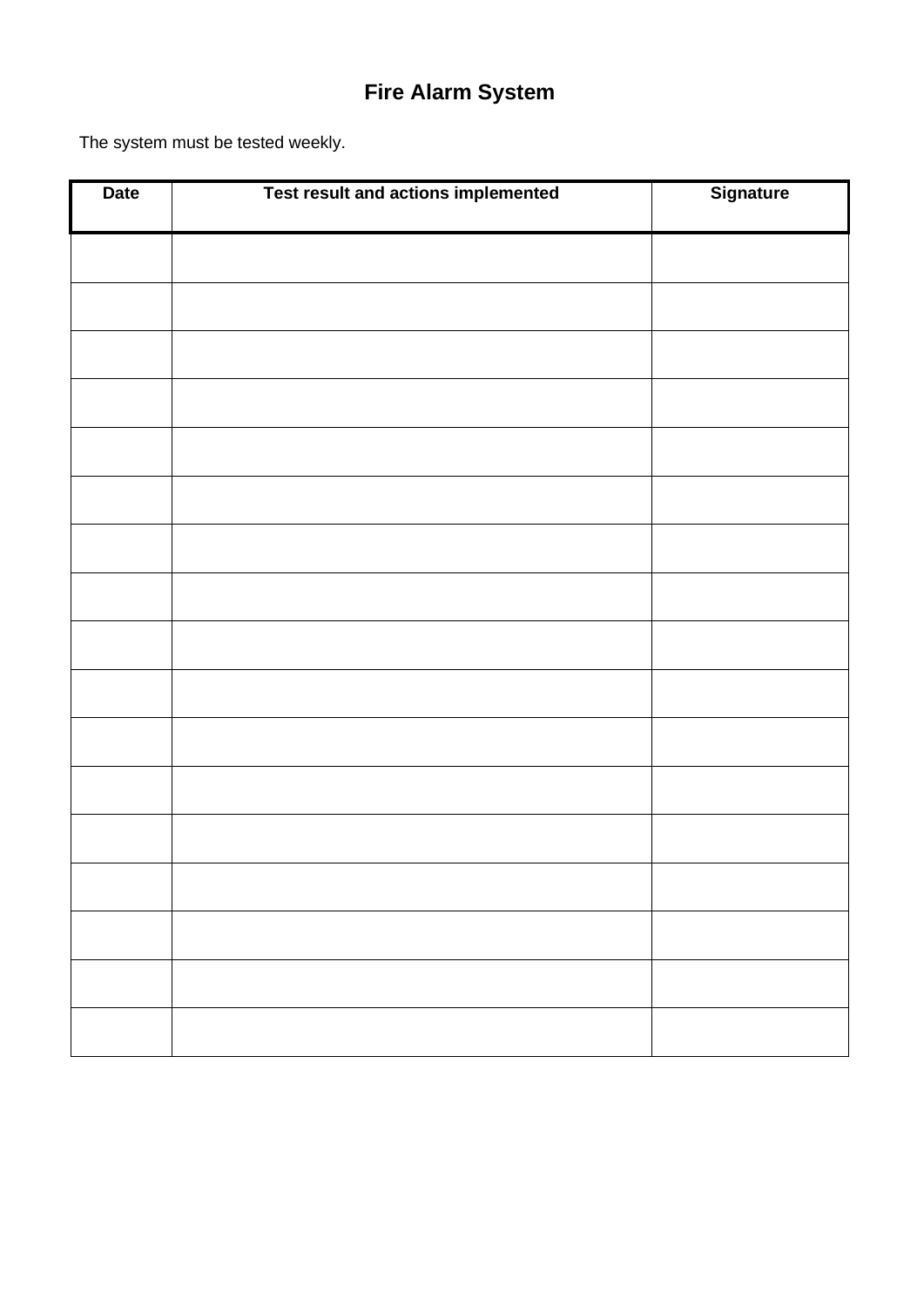# **Fire Alarm System**

The system must be tested weekly.

| <b>Date</b> | Test result and actions implemented | <b>Signature</b> |
|-------------|-------------------------------------|------------------|
|             |                                     |                  |
|             |                                     |                  |
|             |                                     |                  |
|             |                                     |                  |
|             |                                     |                  |
|             |                                     |                  |
|             |                                     |                  |
|             |                                     |                  |
|             |                                     |                  |
|             |                                     |                  |
|             |                                     |                  |
|             |                                     |                  |
|             |                                     |                  |
|             |                                     |                  |
|             |                                     |                  |
|             |                                     |                  |
|             |                                     |                  |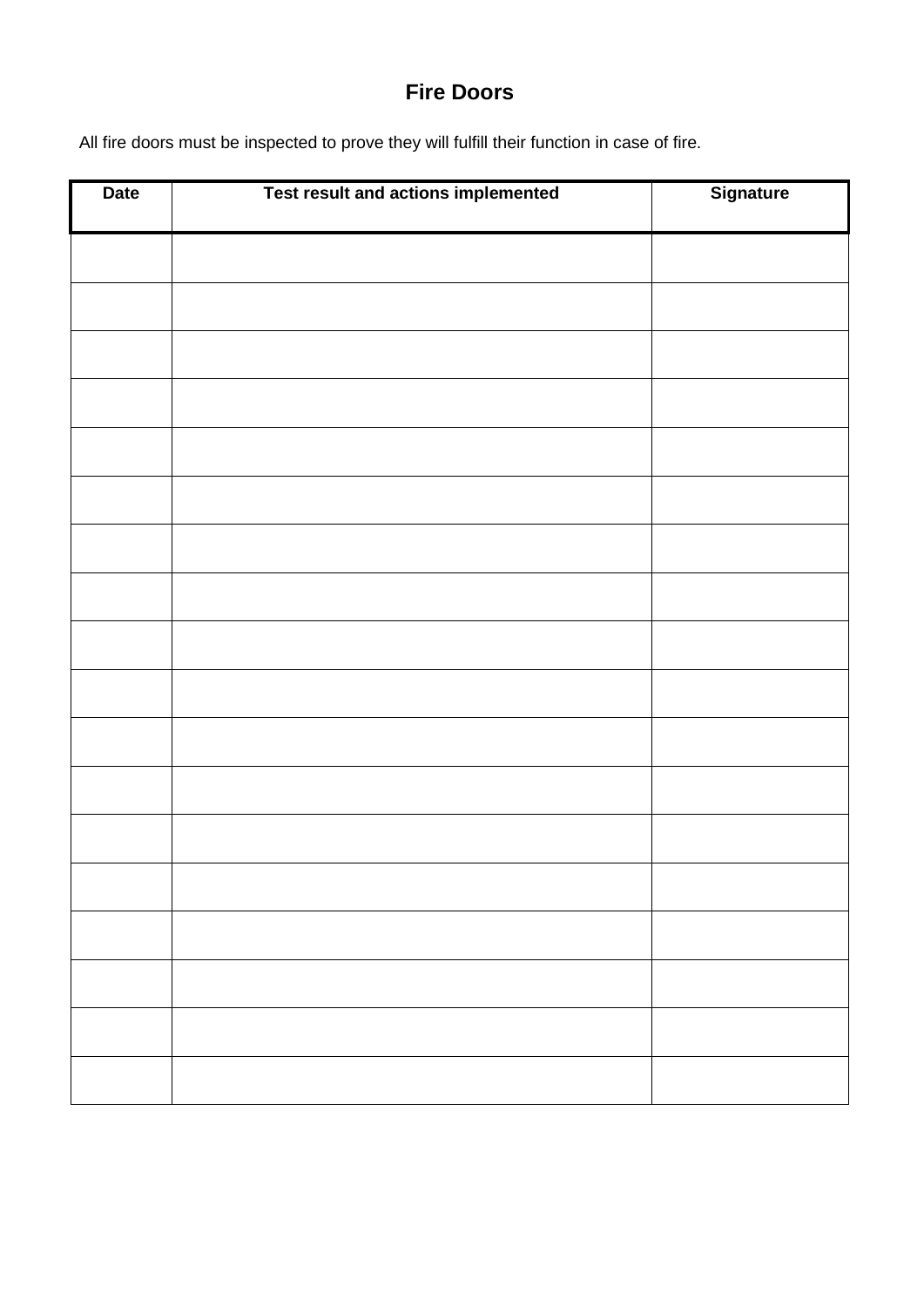### **Fire Doors**

All fire doors must be inspected to prove they will fulfill their function in case of fire.

| <b>Date</b> | Test result and actions implemented | Signature |
|-------------|-------------------------------------|-----------|
|             |                                     |           |
|             |                                     |           |
|             |                                     |           |
|             |                                     |           |
|             |                                     |           |
|             |                                     |           |
|             |                                     |           |
|             |                                     |           |
|             |                                     |           |
|             |                                     |           |
|             |                                     |           |
|             |                                     |           |
|             |                                     |           |
|             |                                     |           |
|             |                                     |           |
|             |                                     |           |
|             |                                     |           |
|             |                                     |           |
|             |                                     |           |
|             |                                     |           |
|             |                                     |           |
|             |                                     |           |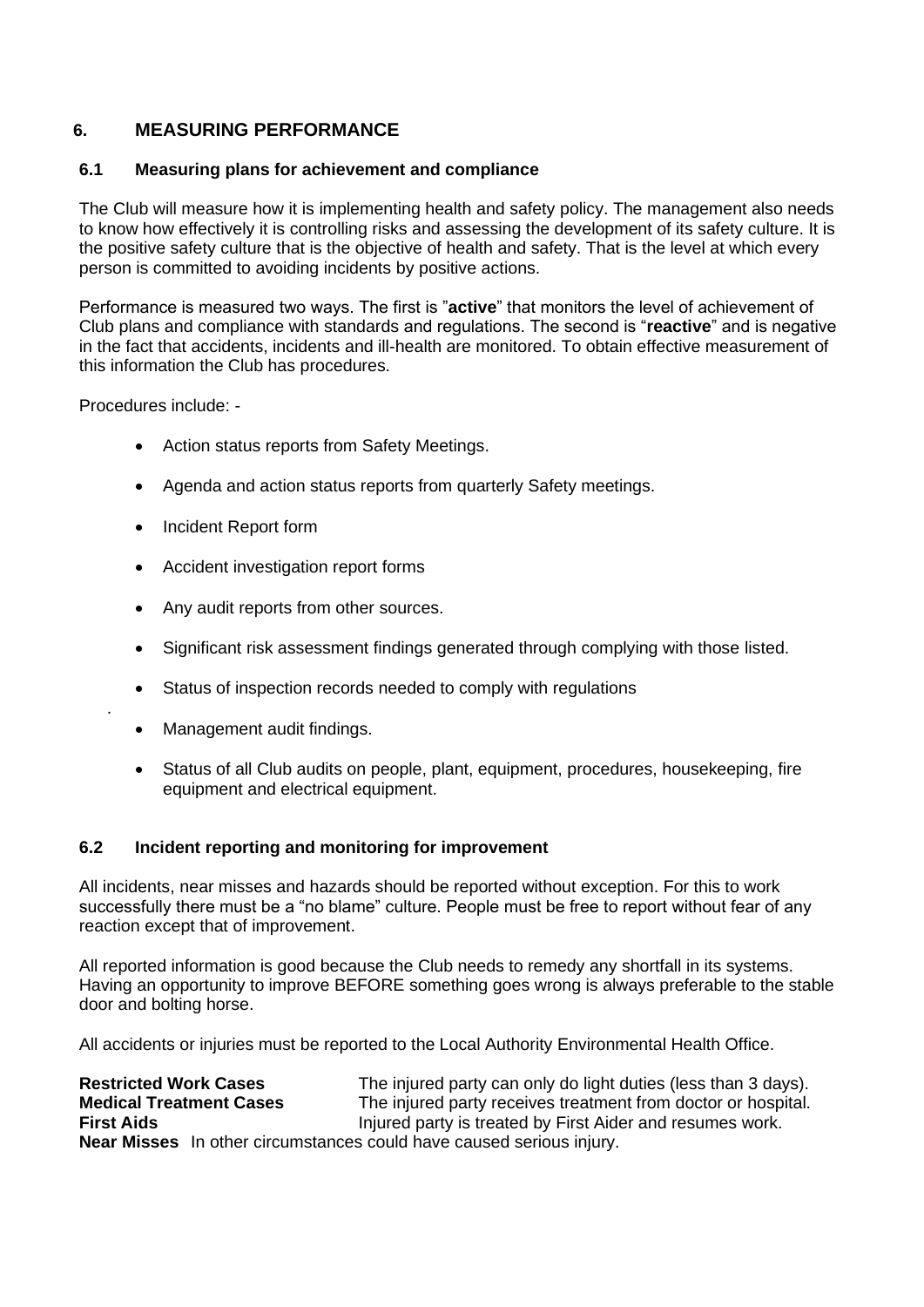### **6. MEASURING PERFORMANCE**

### **6.1 Measuring plans for achievement and compliance**

The Club will measure how it is implementing health and safety policy. The management also needs to know how effectively it is controlling risks and assessing the development of its safety culture. It is the positive safety culture that is the objective of health and safety. That is the level at which every person is committed to avoiding incidents by positive actions.

Performance is measured two ways. The first is "**active**" that monitors the level of achievement of Club plans and compliance with standards and regulations. The second is "**reactive**" and is negative in the fact that accidents, incidents and ill-health are monitored. To obtain effective measurement of this information the Club has procedures.

Procedures include: -

.

- Action status reports from Safety Meetings.
- Agenda and action status reports from quarterly Safety meetings.
- Incident Report form
- Accident investigation report forms
- Any audit reports from other sources.
- Significant risk assessment findings generated through complying with those listed.
- Status of inspection records needed to comply with regulations
- Management audit findings.
- Status of all Club audits on people, plant, equipment, procedures, housekeeping, fire equipment and electrical equipment.

#### **6.2 Incident reporting and monitoring for improvement**

All incidents, near misses and hazards should be reported without exception. For this to work successfully there must be a "no blame" culture. People must be free to report without fear of any reaction except that of improvement.

All reported information is good because the Club needs to remedy any shortfall in its systems. Having an opportunity to improve BEFORE something goes wrong is always preferable to the stable door and bolting horse.

All accidents or injuries must be reported to the Local Authority Environmental Health Office.

**Restricted Work Cases** The injured party can only do light duties (less than 3 days). **Medical Treatment Cases** The injured party receives treatment from doctor or hospital. **First Aids Injured party is treated by First Aider and resumes work. Near Misses** In other circumstances could have caused serious injury.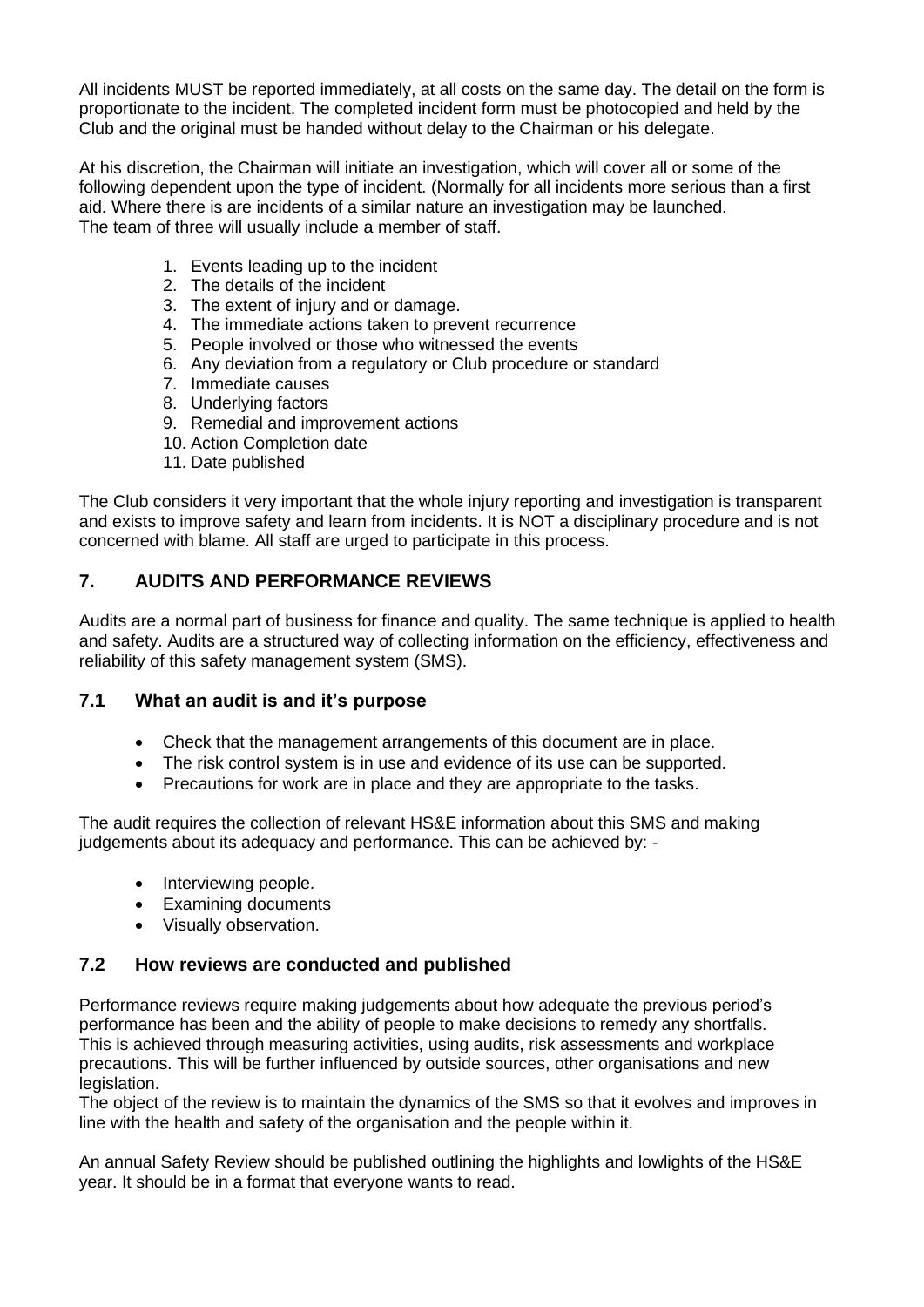All incidents MUST be reported immediately, at all costs on the same day. The detail on the form is proportionate to the incident. The completed incident form must be photocopied and held by the Club and the original must be handed without delay to the Chairman or his delegate.

At his discretion, the Chairman will initiate an investigation, which will cover all or some of the following dependent upon the type of incident. (Normally for all incidents more serious than a first aid. Where there is are incidents of a similar nature an investigation may be launched. The team of three will usually include a member of staff.

- 1. Events leading up to the incident
- 2. The details of the incident
- 3. The extent of injury and or damage.
- 4. The immediate actions taken to prevent recurrence
- 5. People involved or those who witnessed the events
- 6. Any deviation from a regulatory or Club procedure or standard
- 7. Immediate causes
- 8. Underlying factors
- 9. Remedial and improvement actions
- 10. Action Completion date
- 11. Date published

The Club considers it very important that the whole injury reporting and investigation is transparent and exists to improve safety and learn from incidents. It is NOT a disciplinary procedure and is not concerned with blame. All staff are urged to participate in this process.

### **7. AUDITS AND PERFORMANCE REVIEWS**

Audits are a normal part of business for finance and quality. The same technique is applied to health and safety. Audits are a structured way of collecting information on the efficiency, effectiveness and reliability of this safety management system (SMS).

### **7.1 What an audit is and it's purpose**

- Check that the management arrangements of this document are in place.
- The risk control system is in use and evidence of its use can be supported.
- Precautions for work are in place and they are appropriate to the tasks.

The audit requires the collection of relevant HS&E information about this SMS and making judgements about its adequacy and performance. This can be achieved by: -

- Interviewing people.
- Examining documents
- Visually observation.

### **7.2 How reviews are conducted and published**

Performance reviews require making judgements about how adequate the previous period's performance has been and the ability of people to make decisions to remedy any shortfalls. This is achieved through measuring activities, using audits, risk assessments and workplace precautions. This will be further influenced by outside sources, other organisations and new legislation.

The object of the review is to maintain the dynamics of the SMS so that it evolves and improves in line with the health and safety of the organisation and the people within it.

An annual Safety Review should be published outlining the highlights and lowlights of the HS&E year. It should be in a format that everyone wants to read.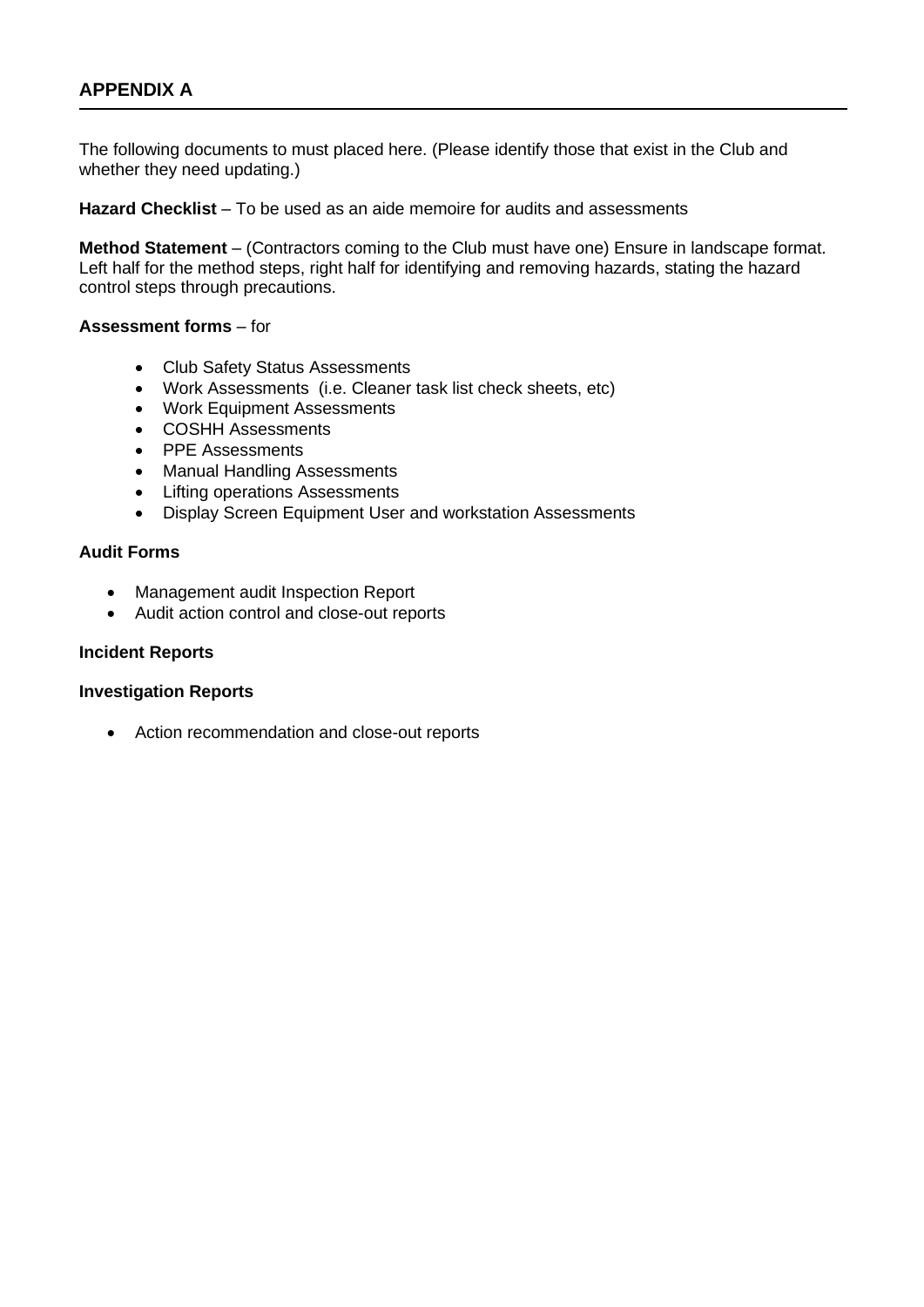The following documents to must placed here. (Please identify those that exist in the Club and whether they need updating.)

**Hazard Checklist** – To be used as an aide memoire for audits and assessments

**Method Statement** – (Contractors coming to the Club must have one) Ensure in landscape format. Left half for the method steps, right half for identifying and removing hazards, stating the hazard control steps through precautions.

#### **Assessment forms** – for

- Club Safety Status Assessments
- Work Assessments (i.e. Cleaner task list check sheets, etc)
- Work Equipment Assessments
- COSHH Assessments
- PPE Assessments
- Manual Handling Assessments
- Lifting operations Assessments
- Display Screen Equipment User and workstation Assessments

#### **Audit Forms**

- Management audit Inspection Report
- Audit action control and close-out reports

#### **Incident Reports**

#### **Investigation Reports**

• Action recommendation and close-out reports